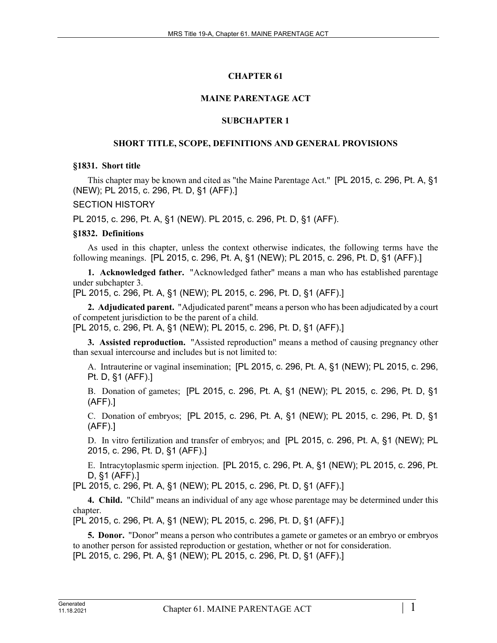# **CHAPTER 61**

# **MAINE PARENTAGE ACT**

# **SUBCHAPTER 1**

# **SHORT TITLE, SCOPE, DEFINITIONS AND GENERAL PROVISIONS**

### **§1831. Short title**

This chapter may be known and cited as "the Maine Parentage Act." [PL 2015, c. 296, Pt. A, §1 (NEW); PL 2015, c. 296, Pt. D, §1 (AFF).]

## SECTION HISTORY

PL 2015, c. 296, Pt. A, §1 (NEW). PL 2015, c. 296, Pt. D, §1 (AFF).

## **§1832. Definitions**

As used in this chapter, unless the context otherwise indicates, the following terms have the following meanings. [PL 2015, c. 296, Pt. A, §1 (NEW); PL 2015, c. 296, Pt. D, §1 (AFF).]

**1. Acknowledged father.** "Acknowledged father" means a man who has established parentage under subchapter 3.

[PL 2015, c. 296, Pt. A, §1 (NEW); PL 2015, c. 296, Pt. D, §1 (AFF).]

**2. Adjudicated parent.** "Adjudicated parent" means a person who has been adjudicated by a court of competent jurisdiction to be the parent of a child. [PL 2015, c. 296, Pt. A, §1 (NEW); PL 2015, c. 296, Pt. D, §1 (AFF).]

**3. Assisted reproduction.** "Assisted reproduction" means a method of causing pregnancy other

than sexual intercourse and includes but is not limited to:

A. Intrauterine or vaginal insemination; [PL 2015, c. 296, Pt. A, §1 (NEW); PL 2015, c. 296, Pt. D, §1 (AFF).]

B. Donation of gametes; [PL 2015, c. 296, Pt. A, §1 (NEW); PL 2015, c. 296, Pt. D, §1 (AFF).]

C. Donation of embryos; [PL 2015, c. 296, Pt. A, §1 (NEW); PL 2015, c. 296, Pt. D, §1 (AFF).]

D. In vitro fertilization and transfer of embryos; and [PL 2015, c. 296, Pt. A, §1 (NEW); PL 2015, c. 296, Pt. D, §1 (AFF).]

E. Intracytoplasmic sperm injection. [PL 2015, c. 296, Pt. A, §1 (NEW); PL 2015, c. 296, Pt. D, §1 (AFF).]

[PL 2015, c. 296, Pt. A, §1 (NEW); PL 2015, c. 296, Pt. D, §1 (AFF).]

**4. Child.** "Child" means an individual of any age whose parentage may be determined under this chapter.

[PL 2015, c. 296, Pt. A, §1 (NEW); PL 2015, c. 296, Pt. D, §1 (AFF).]

**5. Donor.** "Donor" means a person who contributes a gamete or gametes or an embryo or embryos to another person for assisted reproduction or gestation, whether or not for consideration. [PL 2015, c. 296, Pt. A, §1 (NEW); PL 2015, c. 296, Pt. D, §1 (AFF).]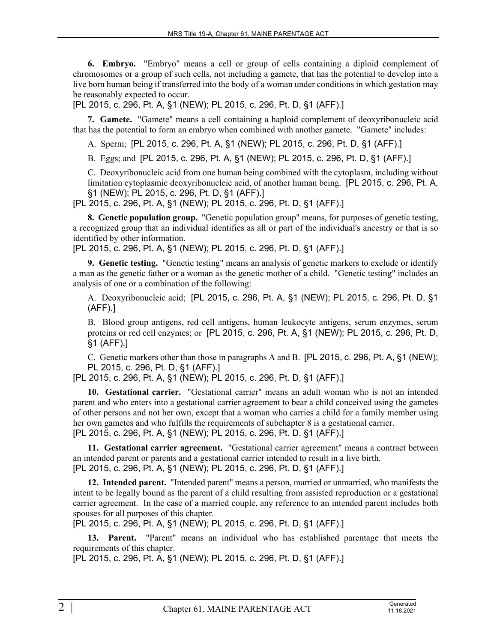**6. Embryo.** "Embryo" means a cell or group of cells containing a diploid complement of chromosomes or a group of such cells, not including a gamete, that has the potential to develop into a live born human being if transferred into the body of a woman under conditions in which gestation may be reasonably expected to occur.

[PL 2015, c. 296, Pt. A, §1 (NEW); PL 2015, c. 296, Pt. D, §1 (AFF).]

**7. Gamete.** "Gamete" means a cell containing a haploid complement of deoxyribonucleic acid that has the potential to form an embryo when combined with another gamete. "Gamete" includes:

A. Sperm; [PL 2015, c. 296, Pt. A, §1 (NEW); PL 2015, c. 296, Pt. D, §1 (AFF).]

B. Eggs; and [PL 2015, c. 296, Pt. A, §1 (NEW); PL 2015, c. 296, Pt. D, §1 (AFF).]

C. Deoxyribonucleic acid from one human being combined with the cytoplasm, including without limitation cytoplasmic deoxyribonucleic acid, of another human being. [PL 2015, c. 296, Pt. A, §1 (NEW); PL 2015, c. 296, Pt. D, §1 (AFF).]

[PL 2015, c. 296, Pt. A, §1 (NEW); PL 2015, c. 296, Pt. D, §1 (AFF).]

**8. Genetic population group.** "Genetic population group" means, for purposes of genetic testing, a recognized group that an individual identifies as all or part of the individual's ancestry or that is so identified by other information.

[PL 2015, c. 296, Pt. A, §1 (NEW); PL 2015, c. 296, Pt. D, §1 (AFF).]

**9. Genetic testing.** "Genetic testing" means an analysis of genetic markers to exclude or identify a man as the genetic father or a woman as the genetic mother of a child. "Genetic testing" includes an analysis of one or a combination of the following:

A. Deoxyribonucleic acid; [PL 2015, c. 296, Pt. A, §1 (NEW); PL 2015, c. 296, Pt. D, §1 (AFF).]

B. Blood group antigens, red cell antigens, human leukocyte antigens, serum enzymes, serum proteins or red cell enzymes; or [PL 2015, c. 296, Pt. A, §1 (NEW); PL 2015, c. 296, Pt. D, §1 (AFF).]

C. Genetic markers other than those in paragraphs A and B. [PL 2015, c. 296, Pt. A, §1 (NEW); PL 2015, c. 296, Pt. D, §1 (AFF).]

[PL 2015, c. 296, Pt. A, §1 (NEW); PL 2015, c. 296, Pt. D, §1 (AFF).]

**10. Gestational carrier.** "Gestational carrier" means an adult woman who is not an intended parent and who enters into a gestational carrier agreement to bear a child conceived using the gametes of other persons and not her own, except that a woman who carries a child for a family member using her own gametes and who fulfills the requirements of subchapter 8 is a gestational carrier. [PL 2015, c. 296, Pt. A, §1 (NEW); PL 2015, c. 296, Pt. D, §1 (AFF).]

**11. Gestational carrier agreement.** "Gestational carrier agreement" means a contract between an intended parent or parents and a gestational carrier intended to result in a live birth. [PL 2015, c. 296, Pt. A, §1 (NEW); PL 2015, c. 296, Pt. D, §1 (AFF).]

**12. Intended parent.** "Intended parent" means a person, married or unmarried, who manifests the intent to be legally bound as the parent of a child resulting from assisted reproduction or a gestational carrier agreement. In the case of a married couple, any reference to an intended parent includes both spouses for all purposes of this chapter.

[PL 2015, c. 296, Pt. A, §1 (NEW); PL 2015, c. 296, Pt. D, §1 (AFF).]

**13. Parent.** "Parent" means an individual who has established parentage that meets the requirements of this chapter.

[PL 2015, c. 296, Pt. A, §1 (NEW); PL 2015, c. 296, Pt. D, §1 (AFF).]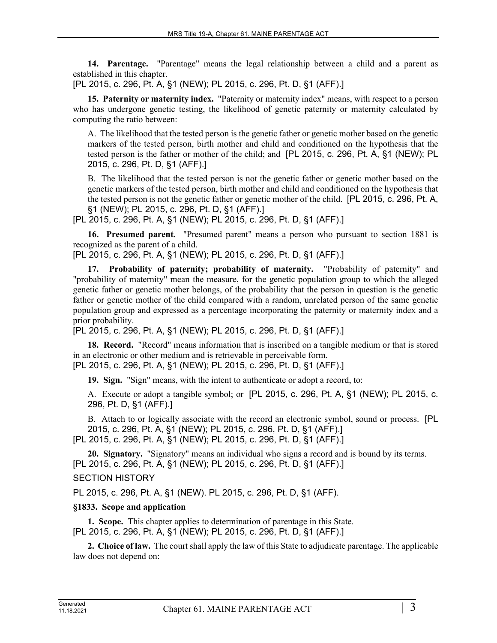**14. Parentage.** "Parentage" means the legal relationship between a child and a parent as established in this chapter.

[PL 2015, c. 296, Pt. A, §1 (NEW); PL 2015, c. 296, Pt. D, §1 (AFF).]

**15. Paternity or maternity index.** "Paternity or maternity index" means, with respect to a person who has undergone genetic testing, the likelihood of genetic paternity or maternity calculated by computing the ratio between:

A. The likelihood that the tested person is the genetic father or genetic mother based on the genetic markers of the tested person, birth mother and child and conditioned on the hypothesis that the tested person is the father or mother of the child; and [PL 2015, c. 296, Pt. A, §1 (NEW); PL 2015, c. 296, Pt. D, §1 (AFF).]

B. The likelihood that the tested person is not the genetic father or genetic mother based on the genetic markers of the tested person, birth mother and child and conditioned on the hypothesis that the tested person is not the genetic father or genetic mother of the child. [PL 2015, c. 296, Pt. A, §1 (NEW); PL 2015, c. 296, Pt. D, §1 (AFF).]

[PL 2015, c. 296, Pt. A, §1 (NEW); PL 2015, c. 296, Pt. D, §1 (AFF).]

**16. Presumed parent.** "Presumed parent" means a person who pursuant to section 1881 is recognized as the parent of a child.

[PL 2015, c. 296, Pt. A, §1 (NEW); PL 2015, c. 296, Pt. D, §1 (AFF).]

**17. Probability of paternity; probability of maternity.** "Probability of paternity" and "probability of maternity" mean the measure, for the genetic population group to which the alleged genetic father or genetic mother belongs, of the probability that the person in question is the genetic father or genetic mother of the child compared with a random, unrelated person of the same genetic population group and expressed as a percentage incorporating the paternity or maternity index and a prior probability.

[PL 2015, c. 296, Pt. A, §1 (NEW); PL 2015, c. 296, Pt. D, §1 (AFF).]

**18. Record.** "Record" means information that is inscribed on a tangible medium or that is stored in an electronic or other medium and is retrievable in perceivable form. [PL 2015, c. 296, Pt. A, §1 (NEW); PL 2015, c. 296, Pt. D, §1 (AFF).]

**19. Sign.** "Sign" means, with the intent to authenticate or adopt a record, to:

A. Execute or adopt a tangible symbol; or [PL 2015, c. 296, Pt. A, §1 (NEW); PL 2015, c. 296, Pt. D, §1 (AFF).]

B. Attach to or logically associate with the record an electronic symbol, sound or process. [PL 2015, c. 296, Pt. A, §1 (NEW); PL 2015, c. 296, Pt. D, §1 (AFF).]

[PL 2015, c. 296, Pt. A, §1 (NEW); PL 2015, c. 296, Pt. D, §1 (AFF).]

**20. Signatory.** "Signatory" means an individual who signs a record and is bound by its terms. [PL 2015, c. 296, Pt. A, §1 (NEW); PL 2015, c. 296, Pt. D, §1 (AFF).]

# SECTION HISTORY

PL 2015, c. 296, Pt. A, §1 (NEW). PL 2015, c. 296, Pt. D, §1 (AFF).

# **§1833. Scope and application**

**1. Scope.** This chapter applies to determination of parentage in this State. [PL 2015, c. 296, Pt. A, §1 (NEW); PL 2015, c. 296, Pt. D, §1 (AFF).]

**2. Choice of law.** The court shall apply the law of this State to adjudicate parentage. The applicable law does not depend on: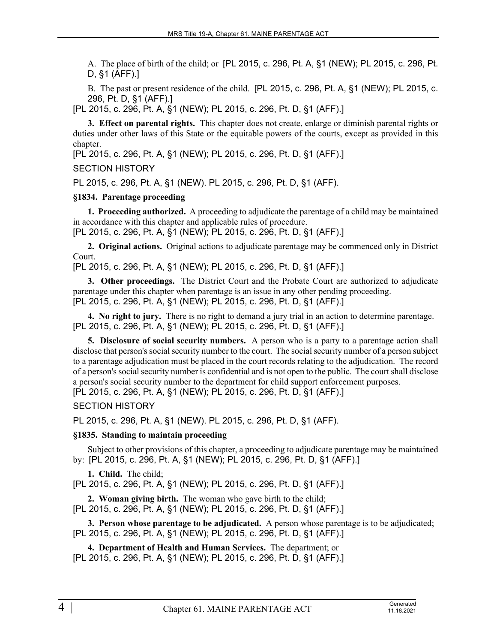A. The place of birth of the child; or [PL 2015, c. 296, Pt. A, §1 (NEW); PL 2015, c. 296, Pt. D, §1 (AFF).]

B. The past or present residence of the child. [PL 2015, c. 296, Pt. A, §1 (NEW); PL 2015, c. 296, Pt. D, §1 (AFF).]

[PL 2015, c. 296, Pt. A, §1 (NEW); PL 2015, c. 296, Pt. D, §1 (AFF).]

**3. Effect on parental rights.** This chapter does not create, enlarge or diminish parental rights or duties under other laws of this State or the equitable powers of the courts, except as provided in this chapter.

[PL 2015, c. 296, Pt. A, §1 (NEW); PL 2015, c. 296, Pt. D, §1 (AFF).]

SECTION HISTORY

PL 2015, c. 296, Pt. A, §1 (NEW). PL 2015, c. 296, Pt. D, §1 (AFF).

## **§1834. Parentage proceeding**

**1. Proceeding authorized.** A proceeding to adjudicate the parentage of a child may be maintained in accordance with this chapter and applicable rules of procedure.

[PL 2015, c. 296, Pt. A, §1 (NEW); PL 2015, c. 296, Pt. D, §1 (AFF).]

**2. Original actions.** Original actions to adjudicate parentage may be commenced only in District Court.

[PL 2015, c. 296, Pt. A, §1 (NEW); PL 2015, c. 296, Pt. D, §1 (AFF).]

**3. Other proceedings.** The District Court and the Probate Court are authorized to adjudicate parentage under this chapter when parentage is an issue in any other pending proceeding. [PL 2015, c. 296, Pt. A, §1 (NEW); PL 2015, c. 296, Pt. D, §1 (AFF).]

**4. No right to jury.** There is no right to demand a jury trial in an action to determine parentage. [PL 2015, c. 296, Pt. A, §1 (NEW); PL 2015, c. 296, Pt. D, §1 (AFF).]

**5. Disclosure of social security numbers.** A person who is a party to a parentage action shall disclose that person's social security number to the court. The social security number of a person subject to a parentage adjudication must be placed in the court records relating to the adjudication. The record of a person's social security number is confidential and is not open to the public. The court shall disclose a person's social security number to the department for child support enforcement purposes. [PL 2015, c. 296, Pt. A, §1 (NEW); PL 2015, c. 296, Pt. D, §1 (AFF).]

SECTION HISTORY

PL 2015, c. 296, Pt. A, §1 (NEW). PL 2015, c. 296, Pt. D, §1 (AFF).

# **§1835. Standing to maintain proceeding**

Subject to other provisions of this chapter, a proceeding to adjudicate parentage may be maintained by: [PL 2015, c. 296, Pt. A, §1 (NEW); PL 2015, c. 296, Pt. D, §1 (AFF).]

**1. Child.** The child;

[PL 2015, c. 296, Pt. A, §1 (NEW); PL 2015, c. 296, Pt. D, §1 (AFF).]

**2. Woman giving birth.** The woman who gave birth to the child; [PL 2015, c. 296, Pt. A, §1 (NEW); PL 2015, c. 296, Pt. D, §1 (AFF).]

**3. Person whose parentage to be adjudicated.** A person whose parentage is to be adjudicated; [PL 2015, c. 296, Pt. A, §1 (NEW); PL 2015, c. 296, Pt. D, §1 (AFF).]

**4. Department of Health and Human Services.** The department; or [PL 2015, c. 296, Pt. A, §1 (NEW); PL 2015, c. 296, Pt. D, §1 (AFF).]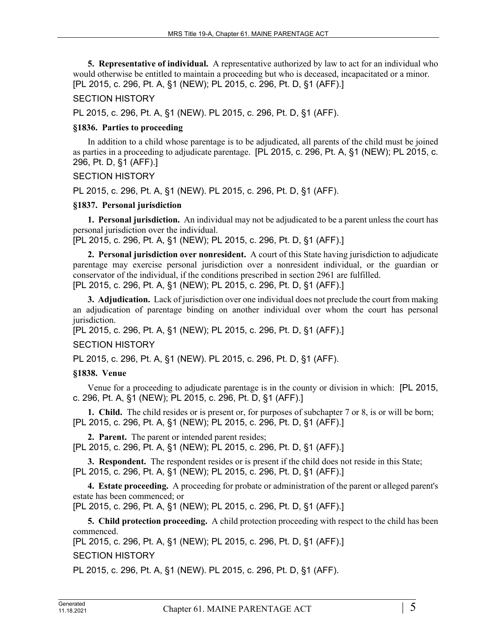**5. Representative of individual.** A representative authorized by law to act for an individual who would otherwise be entitled to maintain a proceeding but who is deceased, incapacitated or a minor. [PL 2015, c. 296, Pt. A, §1 (NEW); PL 2015, c. 296, Pt. D, §1 (AFF).]

## SECTION HISTORY

PL 2015, c. 296, Pt. A, §1 (NEW). PL 2015, c. 296, Pt. D, §1 (AFF).

## **§1836. Parties to proceeding**

In addition to a child whose parentage is to be adjudicated, all parents of the child must be joined as parties in a proceeding to adjudicate parentage. [PL 2015, c. 296, Pt. A, §1 (NEW); PL 2015, c. 296, Pt. D, §1 (AFF).]

## SECTION HISTORY

PL 2015, c. 296, Pt. A, §1 (NEW). PL 2015, c. 296, Pt. D, §1 (AFF).

## **§1837. Personal jurisdiction**

**1. Personal jurisdiction.** An individual may not be adjudicated to be a parent unless the court has personal jurisdiction over the individual.

[PL 2015, c. 296, Pt. A, §1 (NEW); PL 2015, c. 296, Pt. D, §1 (AFF).]

**2. Personal jurisdiction over nonresident.** A court of this State having jurisdiction to adjudicate parentage may exercise personal jurisdiction over a nonresident individual, or the guardian or conservator of the individual, if the conditions prescribed in section 2961 are fulfilled. [PL 2015, c. 296, Pt. A, §1 (NEW); PL 2015, c. 296, Pt. D, §1 (AFF).]

**3. Adjudication.** Lack of jurisdiction over one individual does not preclude the court from making an adjudication of parentage binding on another individual over whom the court has personal jurisdiction.

[PL 2015, c. 296, Pt. A, §1 (NEW); PL 2015, c. 296, Pt. D, §1 (AFF).]

# SECTION HISTORY

PL 2015, c. 296, Pt. A, §1 (NEW). PL 2015, c. 296, Pt. D, §1 (AFF).

# **§1838. Venue**

Venue for a proceeding to adjudicate parentage is in the county or division in which: [PL 2015, c. 296, Pt. A, §1 (NEW); PL 2015, c. 296, Pt. D, §1 (AFF).]

**1. Child.** The child resides or is present or, for purposes of subchapter 7 or 8, is or will be born; [PL 2015, c. 296, Pt. A, §1 (NEW); PL 2015, c. 296, Pt. D, §1 (AFF).]

**2. Parent.** The parent or intended parent resides; [PL 2015, c. 296, Pt. A, §1 (NEW); PL 2015, c. 296, Pt. D, §1 (AFF).]

**3. Respondent.** The respondent resides or is present if the child does not reside in this State; [PL 2015, c. 296, Pt. A, §1 (NEW); PL 2015, c. 296, Pt. D, §1 (AFF).]

**4. Estate proceeding.** A proceeding for probate or administration of the parent or alleged parent's estate has been commenced; or

[PL 2015, c. 296, Pt. A, §1 (NEW); PL 2015, c. 296, Pt. D, §1 (AFF).]

**5. Child protection proceeding.** A child protection proceeding with respect to the child has been commenced.

[PL 2015, c. 296, Pt. A, §1 (NEW); PL 2015, c. 296, Pt. D, §1 (AFF).]

# SECTION HISTORY

PL 2015, c. 296, Pt. A, §1 (NEW). PL 2015, c. 296, Pt. D, §1 (AFF).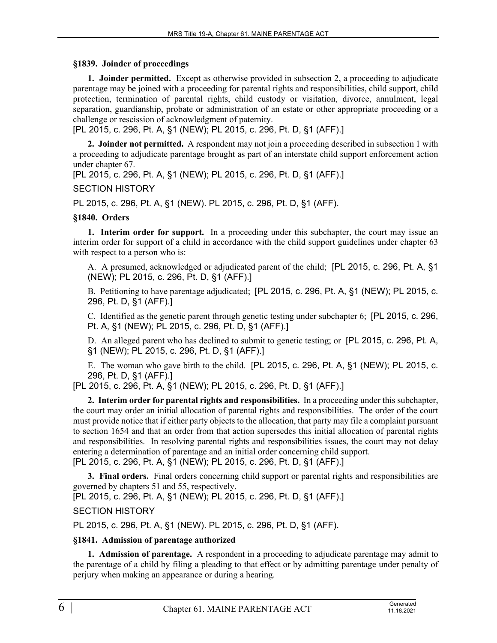#### **§1839. Joinder of proceedings**

**1. Joinder permitted.** Except as otherwise provided in subsection 2, a proceeding to adjudicate parentage may be joined with a proceeding for parental rights and responsibilities, child support, child protection, termination of parental rights, child custody or visitation, divorce, annulment, legal separation, guardianship, probate or administration of an estate or other appropriate proceeding or a challenge or rescission of acknowledgment of paternity.

[PL 2015, c. 296, Pt. A, §1 (NEW); PL 2015, c. 296, Pt. D, §1 (AFF).]

**2. Joinder not permitted.** A respondent may not join a proceeding described in subsection 1 with a proceeding to adjudicate parentage brought as part of an interstate child support enforcement action under chapter 67.

[PL 2015, c. 296, Pt. A, §1 (NEW); PL 2015, c. 296, Pt. D, §1 (AFF).]

## SECTION HISTORY

PL 2015, c. 296, Pt. A, §1 (NEW). PL 2015, c. 296, Pt. D, §1 (AFF).

# **§1840. Orders**

**1. Interim order for support.** In a proceeding under this subchapter, the court may issue an interim order for support of a child in accordance with the child support guidelines under chapter 63 with respect to a person who is:

A. A presumed, acknowledged or adjudicated parent of the child; [PL 2015, c. 296, Pt. A, §1 (NEW); PL 2015, c. 296, Pt. D, §1 (AFF).]

B. Petitioning to have parentage adjudicated; [PL 2015, c. 296, Pt. A, §1 (NEW); PL 2015, c. 296, Pt. D, §1 (AFF).]

C. Identified as the genetic parent through genetic testing under subchapter 6; [PL 2015, c. 296, Pt. A, §1 (NEW); PL 2015, c. 296, Pt. D, §1 (AFF).]

D. An alleged parent who has declined to submit to genetic testing; or [PL 2015, c. 296, Pt. A, §1 (NEW); PL 2015, c. 296, Pt. D, §1 (AFF).]

E. The woman who gave birth to the child. [PL 2015, c. 296, Pt. A, §1 (NEW); PL 2015, c. 296, Pt. D, §1 (AFF).]

[PL 2015, c. 296, Pt. A, §1 (NEW); PL 2015, c. 296, Pt. D, §1 (AFF).]

**2. Interim order for parental rights and responsibilities.** In a proceeding under this subchapter, the court may order an initial allocation of parental rights and responsibilities. The order of the court must provide notice that if either party objects to the allocation, that party may file a complaint pursuant to section 1654 and that an order from that action supersedes this initial allocation of parental rights and responsibilities. In resolving parental rights and responsibilities issues, the court may not delay entering a determination of parentage and an initial order concerning child support. [PL 2015, c. 296, Pt. A, §1 (NEW); PL 2015, c. 296, Pt. D, §1 (AFF).]

**3. Final orders.** Final orders concerning child support or parental rights and responsibilities are governed by chapters 51 and 55, respectively.

[PL 2015, c. 296, Pt. A, §1 (NEW); PL 2015, c. 296, Pt. D, §1 (AFF).]

# SECTION HISTORY

PL 2015, c. 296, Pt. A, §1 (NEW). PL 2015, c. 296, Pt. D, §1 (AFF).

#### **§1841. Admission of parentage authorized**

**1. Admission of parentage.** A respondent in a proceeding to adjudicate parentage may admit to the parentage of a child by filing a pleading to that effect or by admitting parentage under penalty of perjury when making an appearance or during a hearing.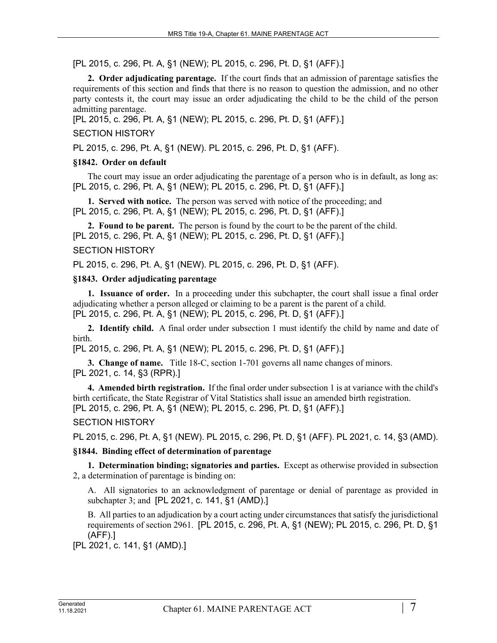[PL 2015, c. 296, Pt. A, §1 (NEW); PL 2015, c. 296, Pt. D, §1 (AFF).]

**2. Order adjudicating parentage.** If the court finds that an admission of parentage satisfies the requirements of this section and finds that there is no reason to question the admission, and no other party contests it, the court may issue an order adjudicating the child to be the child of the person admitting parentage.

[PL 2015, c. 296, Pt. A, §1 (NEW); PL 2015, c. 296, Pt. D, §1 (AFF).]

## SECTION HISTORY

PL 2015, c. 296, Pt. A, §1 (NEW). PL 2015, c. 296, Pt. D, §1 (AFF).

#### **§1842. Order on default**

The court may issue an order adjudicating the parentage of a person who is in default, as long as: [PL 2015, c. 296, Pt. A, §1 (NEW); PL 2015, c. 296, Pt. D, §1 (AFF).]

**1. Served with notice.** The person was served with notice of the proceeding; and [PL 2015, c. 296, Pt. A, §1 (NEW); PL 2015, c. 296, Pt. D, §1 (AFF).]

**2. Found to be parent.** The person is found by the court to be the parent of the child. [PL 2015, c. 296, Pt. A, §1 (NEW); PL 2015, c. 296, Pt. D, §1 (AFF).]

## SECTION HISTORY

PL 2015, c. 296, Pt. A, §1 (NEW). PL 2015, c. 296, Pt. D, §1 (AFF).

#### **§1843. Order adjudicating parentage**

**1. Issuance of order.** In a proceeding under this subchapter, the court shall issue a final order adjudicating whether a person alleged or claiming to be a parent is the parent of a child. [PL 2015, c. 296, Pt. A, §1 (NEW); PL 2015, c. 296, Pt. D, §1 (AFF).]

**2. Identify child.** A final order under subsection 1 must identify the child by name and date of birth.

[PL 2015, c. 296, Pt. A, §1 (NEW); PL 2015, c. 296, Pt. D, §1 (AFF).]

**3. Change of name.** Title 18-C, section 1-701 governs all name changes of minors. [PL 2021, c. 14, §3 (RPR).]

**4. Amended birth registration.** If the final order under subsection 1 is at variance with the child's birth certificate, the State Registrar of Vital Statistics shall issue an amended birth registration. [PL 2015, c. 296, Pt. A, §1 (NEW); PL 2015, c. 296, Pt. D, §1 (AFF).]

# SECTION HISTORY

PL 2015, c. 296, Pt. A, §1 (NEW). PL 2015, c. 296, Pt. D, §1 (AFF). PL 2021, c. 14, §3 (AMD).

# **§1844. Binding effect of determination of parentage**

**1. Determination binding; signatories and parties.** Except as otherwise provided in subsection 2, a determination of parentage is binding on:

A. All signatories to an acknowledgment of parentage or denial of parentage as provided in subchapter 3; and [PL 2021, c. 141, §1 (AMD).]

B. All parties to an adjudication by a court acting under circumstances that satisfy the jurisdictional requirements of section 2961. [PL 2015, c. 296, Pt. A, §1 (NEW); PL 2015, c. 296, Pt. D, §1 (AFF).]

[PL 2021, c. 141, §1 (AMD).]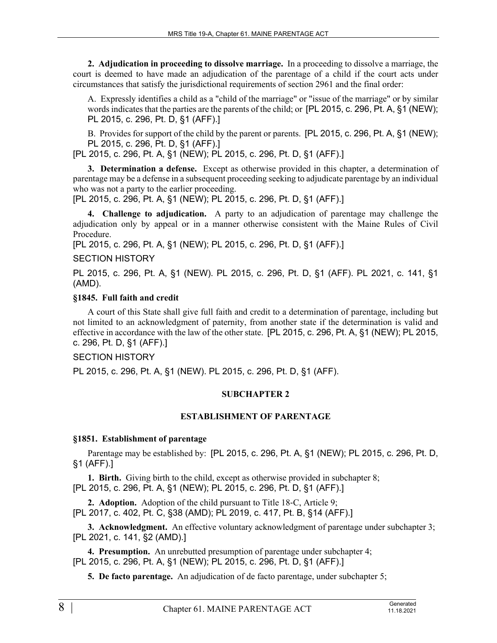**2. Adjudication in proceeding to dissolve marriage.** In a proceeding to dissolve a marriage, the court is deemed to have made an adjudication of the parentage of a child if the court acts under circumstances that satisfy the jurisdictional requirements of section 2961 and the final order:

A. Expressly identifies a child as a "child of the marriage" or "issue of the marriage" or by similar words indicates that the parties are the parents of the child; or [PL 2015, c. 296, Pt. A, §1 (NEW); PL 2015, c. 296, Pt. D, §1 (AFF).]

B. Provides for support of the child by the parent or parents. [PL 2015, c. 296, Pt. A, §1 (NEW); PL 2015, c. 296, Pt. D, §1 (AFF).]

[PL 2015, c. 296, Pt. A, §1 (NEW); PL 2015, c. 296, Pt. D, §1 (AFF).]

**3. Determination a defense.** Except as otherwise provided in this chapter, a determination of parentage may be a defense in a subsequent proceeding seeking to adjudicate parentage by an individual who was not a party to the earlier proceeding.

[PL 2015, c. 296, Pt. A, §1 (NEW); PL 2015, c. 296, Pt. D, §1 (AFF).]

**4. Challenge to adjudication.** A party to an adjudication of parentage may challenge the adjudication only by appeal or in a manner otherwise consistent with the Maine Rules of Civil Procedure.

[PL 2015, c. 296, Pt. A, §1 (NEW); PL 2015, c. 296, Pt. D, §1 (AFF).]

## SECTION HISTORY

PL 2015, c. 296, Pt. A, §1 (NEW). PL 2015, c. 296, Pt. D, §1 (AFF). PL 2021, c. 141, §1 (AMD).

## **§1845. Full faith and credit**

A court of this State shall give full faith and credit to a determination of parentage, including but not limited to an acknowledgment of paternity, from another state if the determination is valid and effective in accordance with the law of the other state. [PL 2015, c. 296, Pt. A, §1 (NEW); PL 2015, c. 296, Pt. D, §1 (AFF).]

# SECTION HISTORY

PL 2015, c. 296, Pt. A, §1 (NEW). PL 2015, c. 296, Pt. D, §1 (AFF).

#### **SUBCHAPTER 2**

#### **ESTABLISHMENT OF PARENTAGE**

#### **§1851. Establishment of parentage**

Parentage may be established by: [PL 2015, c. 296, Pt. A, §1 (NEW); PL 2015, c. 296, Pt. D, §1 (AFF).]

**1. Birth.** Giving birth to the child, except as otherwise provided in subchapter 8; [PL 2015, c. 296, Pt. A, §1 (NEW); PL 2015, c. 296, Pt. D, §1 (AFF).]

**2. Adoption.** Adoption of the child pursuant to Title 18‑C, Article 9; [PL 2017, c. 402, Pt. C, §38 (AMD); PL 2019, c. 417, Pt. B, §14 (AFF).]

**3. Acknowledgment.** An effective voluntary acknowledgment of parentage under subchapter 3; [PL 2021, c. 141, §2 (AMD).]

**4. Presumption.** An unrebutted presumption of parentage under subchapter 4; [PL 2015, c. 296, Pt. A, §1 (NEW); PL 2015, c. 296, Pt. D, §1 (AFF).]

**5. De facto parentage.** An adjudication of de facto parentage, under subchapter 5;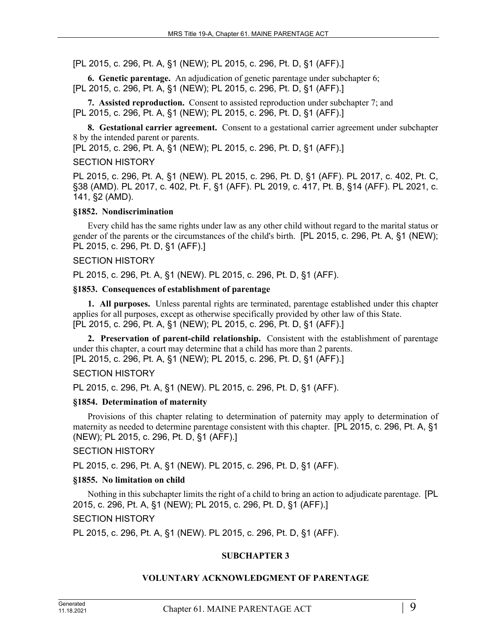[PL 2015, c. 296, Pt. A, §1 (NEW); PL 2015, c. 296, Pt. D, §1 (AFF).]

**6. Genetic parentage.** An adjudication of genetic parentage under subchapter 6; [PL 2015, c. 296, Pt. A, §1 (NEW); PL 2015, c. 296, Pt. D, §1 (AFF).]

**7. Assisted reproduction.** Consent to assisted reproduction under subchapter 7; and [PL 2015, c. 296, Pt. A, §1 (NEW); PL 2015, c. 296, Pt. D, §1 (AFF).]

**8. Gestational carrier agreement.** Consent to a gestational carrier agreement under subchapter 8 by the intended parent or parents.

[PL 2015, c. 296, Pt. A, §1 (NEW); PL 2015, c. 296, Pt. D, §1 (AFF).]

#### SECTION HISTORY

PL 2015, c. 296, Pt. A, §1 (NEW). PL 2015, c. 296, Pt. D, §1 (AFF). PL 2017, c. 402, Pt. C, §38 (AMD). PL 2017, c. 402, Pt. F, §1 (AFF). PL 2019, c. 417, Pt. B, §14 (AFF). PL 2021, c. 141, §2 (AMD).

#### **§1852. Nondiscrimination**

Every child has the same rights under law as any other child without regard to the marital status or gender of the parents or the circumstances of the child's birth. [PL 2015, c. 296, Pt. A, §1 (NEW); PL 2015, c. 296, Pt. D, §1 (AFF).]

#### SECTION HISTORY

PL 2015, c. 296, Pt. A, §1 (NEW). PL 2015, c. 296, Pt. D, §1 (AFF).

#### **§1853. Consequences of establishment of parentage**

**1. All purposes.** Unless parental rights are terminated, parentage established under this chapter applies for all purposes, except as otherwise specifically provided by other law of this State. [PL 2015, c. 296, Pt. A, §1 (NEW); PL 2015, c. 296, Pt. D, §1 (AFF).]

**2. Preservation of parent-child relationship.** Consistent with the establishment of parentage under this chapter, a court may determine that a child has more than 2 parents. [PL 2015, c. 296, Pt. A, §1 (NEW); PL 2015, c. 296, Pt. D, §1 (AFF).]

#### SECTION HISTORY

PL 2015, c. 296, Pt. A, §1 (NEW). PL 2015, c. 296, Pt. D, §1 (AFF).

#### **§1854. Determination of maternity**

Provisions of this chapter relating to determination of paternity may apply to determination of maternity as needed to determine parentage consistent with this chapter. [PL 2015, c. 296, Pt. A, §1 (NEW); PL 2015, c. 296, Pt. D, §1 (AFF).]

#### SECTION HISTORY

PL 2015, c. 296, Pt. A, §1 (NEW). PL 2015, c. 296, Pt. D, §1 (AFF).

#### **§1855. No limitation on child**

Nothing in this subchapter limits the right of a child to bring an action to adjudicate parentage. [PL 2015, c. 296, Pt. A, §1 (NEW); PL 2015, c. 296, Pt. D, §1 (AFF).] SECTION HISTORY

PL 2015, c. 296, Pt. A, §1 (NEW). PL 2015, c. 296, Pt. D, §1 (AFF).

#### **SUBCHAPTER 3**

#### **VOLUNTARY ACKNOWLEDGMENT OF PARENTAGE**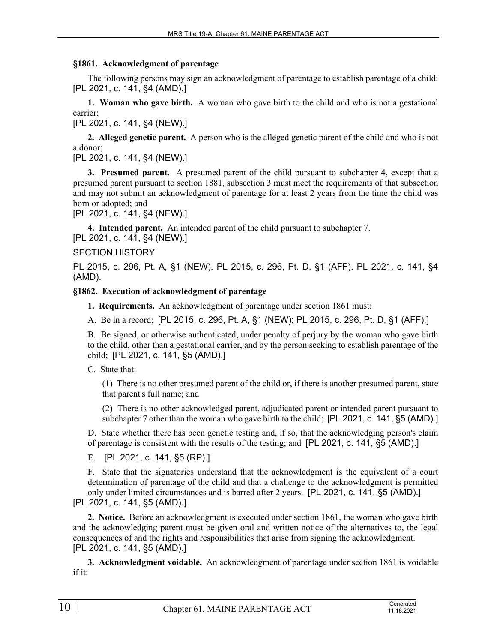#### **§1861. Acknowledgment of parentage**

The following persons may sign an acknowledgment of parentage to establish parentage of a child: [PL 2021, c. 141, §4 (AMD).]

**1. Woman who gave birth.** A woman who gave birth to the child and who is not a gestational carrier;

[PL 2021, c. 141, §4 (NEW).]

**2. Alleged genetic parent.** A person who is the alleged genetic parent of the child and who is not a donor;

[PL 2021, c. 141, §4 (NEW).]

**3. Presumed parent.** A presumed parent of the child pursuant to subchapter 4, except that a presumed parent pursuant to section 1881, subsection 3 must meet the requirements of that subsection and may not submit an acknowledgment of parentage for at least 2 years from the time the child was born or adopted; and

[PL 2021, c. 141, §4 (NEW).]

**4. Intended parent.** An intended parent of the child pursuant to subchapter 7.

[PL 2021, c. 141, §4 (NEW).]

#### SECTION HISTORY

PL 2015, c. 296, Pt. A, §1 (NEW). PL 2015, c. 296, Pt. D, §1 (AFF). PL 2021, c. 141, §4 (AMD).

#### **§1862. Execution of acknowledgment of parentage**

**1. Requirements.** An acknowledgment of parentage under section 1861 must:

A. Be in a record; [PL 2015, c. 296, Pt. A, §1 (NEW); PL 2015, c. 296, Pt. D, §1 (AFF).]

B. Be signed, or otherwise authenticated, under penalty of perjury by the woman who gave birth to the child, other than a gestational carrier, and by the person seeking to establish parentage of the child; [PL 2021, c. 141, §5 (AMD).]

C. State that:

(1) There is no other presumed parent of the child or, if there is another presumed parent, state that parent's full name; and

(2) There is no other acknowledged parent, adjudicated parent or intended parent pursuant to subchapter 7 other than the woman who gave birth to the child; [PL 2021, c. 141, §5 (AMD).]

D. State whether there has been genetic testing and, if so, that the acknowledging person's claim of parentage is consistent with the results of the testing; and [PL 2021, c. 141, §5 (AMD).]

E. [PL 2021, c. 141, §5 (RP).]

F. State that the signatories understand that the acknowledgment is the equivalent of a court determination of parentage of the child and that a challenge to the acknowledgment is permitted only under limited circumstances and is barred after 2 years. [PL 2021, c. 141, §5 (AMD).] [PL 2021, c. 141, §5 (AMD).]

**2. Notice.** Before an acknowledgment is executed under section 1861, the woman who gave birth and the acknowledging parent must be given oral and written notice of the alternatives to, the legal consequences of and the rights and responsibilities that arise from signing the acknowledgment. [PL 2021, c. 141, §5 (AMD).]

**3. Acknowledgment voidable.** An acknowledgment of parentage under section 1861 is voidable if it: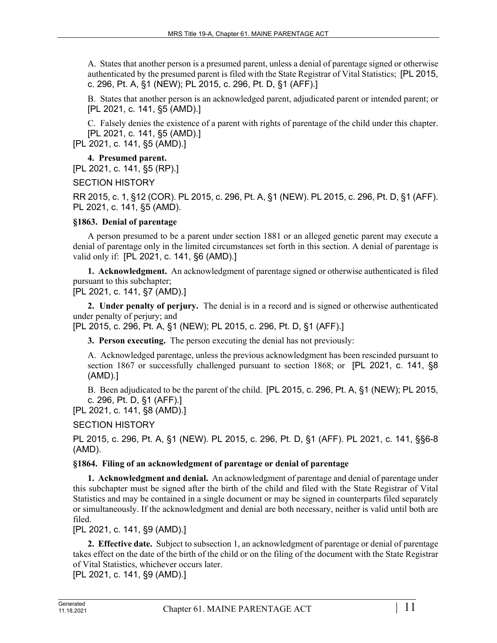A. States that another person is a presumed parent, unless a denial of parentage signed or otherwise authenticated by the presumed parent is filed with the State Registrar of Vital Statistics; [PL 2015, c. 296, Pt. A, §1 (NEW); PL 2015, c. 296, Pt. D, §1 (AFF).]

B. States that another person is an acknowledged parent, adjudicated parent or intended parent; or [PL 2021, c. 141, §5 (AMD).]

C. Falsely denies the existence of a parent with rights of parentage of the child under this chapter. [PL 2021, c. 141, §5 (AMD).]

[PL 2021, c. 141, §5 (AMD).]

**4. Presumed parent.** 

[PL 2021, c. 141, §5 (RP).]

SECTION HISTORY

RR 2015, c. 1, §12 (COR). PL 2015, c. 296, Pt. A, §1 (NEW). PL 2015, c. 296, Pt. D, §1 (AFF). PL 2021, c. 141, §5 (AMD).

## **§1863. Denial of parentage**

A person presumed to be a parent under section 1881 or an alleged genetic parent may execute a denial of parentage only in the limited circumstances set forth in this section. A denial of parentage is valid only if: [PL 2021, c. 141, §6 (AMD).]

**1. Acknowledgment.** An acknowledgment of parentage signed or otherwise authenticated is filed pursuant to this subchapter;

[PL 2021, c. 141, §7 (AMD).]

**2. Under penalty of perjury.** The denial is in a record and is signed or otherwise authenticated under penalty of perjury; and

[PL 2015, c. 296, Pt. A, §1 (NEW); PL 2015, c. 296, Pt. D, §1 (AFF).]

**3. Person executing.** The person executing the denial has not previously:

A. Acknowledged parentage, unless the previous acknowledgment has been rescinded pursuant to section 1867 or successfully challenged pursuant to section 1868; or [PL 2021, c. 141, §8 (AMD).]

B. Been adjudicated to be the parent of the child. [PL 2015, c. 296, Pt. A, §1 (NEW); PL 2015, c. 296, Pt. D, §1 (AFF).]

[PL 2021, c. 141, §8 (AMD).]

SECTION HISTORY

PL 2015, c. 296, Pt. A, §1 (NEW). PL 2015, c. 296, Pt. D, §1 (AFF). PL 2021, c. 141, §§6-8 (AMD).

# **§1864. Filing of an acknowledgment of parentage or denial of parentage**

**1. Acknowledgment and denial.** An acknowledgment of parentage and denial of parentage under this subchapter must be signed after the birth of the child and filed with the State Registrar of Vital Statistics and may be contained in a single document or may be signed in counterparts filed separately or simultaneously. If the acknowledgment and denial are both necessary, neither is valid until both are filed.

[PL 2021, c. 141, §9 (AMD).]

**2. Effective date.** Subject to subsection 1, an acknowledgment of parentage or denial of parentage takes effect on the date of the birth of the child or on the filing of the document with the State Registrar of Vital Statistics, whichever occurs later.

[PL 2021, c. 141, §9 (AMD).]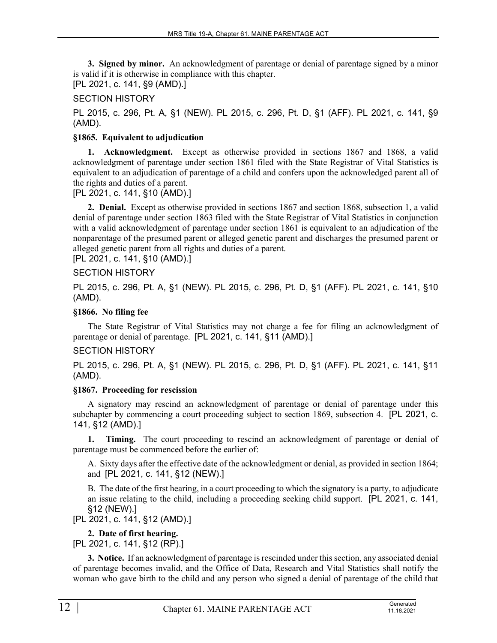**3. Signed by minor.** An acknowledgment of parentage or denial of parentage signed by a minor is valid if it is otherwise in compliance with this chapter. [PL 2021, c. 141, §9 (AMD).]

# SECTION HISTORY

PL 2015, c. 296, Pt. A, §1 (NEW). PL 2015, c. 296, Pt. D, §1 (AFF). PL 2021, c. 141, §9 (AMD).

# **§1865. Equivalent to adjudication**

**1. Acknowledgment.** Except as otherwise provided in sections 1867 and 1868, a valid acknowledgment of parentage under section 1861 filed with the State Registrar of Vital Statistics is equivalent to an adjudication of parentage of a child and confers upon the acknowledged parent all of the rights and duties of a parent.

[PL 2021, c. 141, §10 (AMD).]

**2. Denial.** Except as otherwise provided in sections 1867 and section 1868, subsection 1, a valid denial of parentage under section 1863 filed with the State Registrar of Vital Statistics in conjunction with a valid acknowledgment of parentage under section 1861 is equivalent to an adjudication of the nonparentage of the presumed parent or alleged genetic parent and discharges the presumed parent or alleged genetic parent from all rights and duties of a parent.

[PL 2021, c. 141, §10 (AMD).]

# SECTION HISTORY

PL 2015, c. 296, Pt. A, §1 (NEW). PL 2015, c. 296, Pt. D, §1 (AFF). PL 2021, c. 141, §10 (AMD).

# **§1866. No filing fee**

The State Registrar of Vital Statistics may not charge a fee for filing an acknowledgment of parentage or denial of parentage. [PL 2021, c. 141, §11 (AMD).]

# SECTION HISTORY

PL 2015, c. 296, Pt. A, §1 (NEW). PL 2015, c. 296, Pt. D, §1 (AFF). PL 2021, c. 141, §11 (AMD).

# **§1867. Proceeding for rescission**

A signatory may rescind an acknowledgment of parentage or denial of parentage under this subchapter by commencing a court proceeding subject to section 1869, subsection 4. [PL 2021, c. 141, §12 (AMD).]

**1. Timing.** The court proceeding to rescind an acknowledgment of parentage or denial of parentage must be commenced before the earlier of:

A. Sixty days after the effective date of the acknowledgment or denial, as provided in section 1864; and [PL 2021, c. 141, §12 (NEW).]

B. The date of the first hearing, in a court proceeding to which the signatory is a party, to adjudicate an issue relating to the child, including a proceeding seeking child support. [PL 2021, c. 141, §12 (NEW).]

[PL 2021, c. 141, §12 (AMD).]

# **2. Date of first hearing.**

[PL 2021, c. 141, §12 (RP).]

**3. Notice.** If an acknowledgment of parentage is rescinded under this section, any associated denial of parentage becomes invalid, and the Office of Data, Research and Vital Statistics shall notify the woman who gave birth to the child and any person who signed a denial of parentage of the child that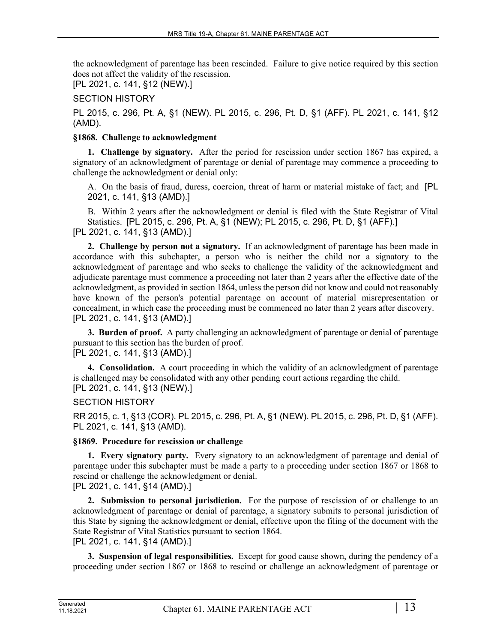the acknowledgment of parentage has been rescinded. Failure to give notice required by this section does not affect the validity of the rescission.

[PL 2021, c. 141, §12 (NEW).]

# SECTION HISTORY

PL 2015, c. 296, Pt. A, §1 (NEW). PL 2015, c. 296, Pt. D, §1 (AFF). PL 2021, c. 141, §12 (AMD).

## **§1868. Challenge to acknowledgment**

**1. Challenge by signatory.** After the period for rescission under section 1867 has expired, a signatory of an acknowledgment of parentage or denial of parentage may commence a proceeding to challenge the acknowledgment or denial only:

A. On the basis of fraud, duress, coercion, threat of harm or material mistake of fact; and [PL 2021, c. 141, §13 (AMD).]

B. Within 2 years after the acknowledgment or denial is filed with the State Registrar of Vital Statistics. [PL 2015, c. 296, Pt. A, §1 (NEW); PL 2015, c. 296, Pt. D, §1 (AFF).] [PL 2021, c. 141, §13 (AMD).]

**2. Challenge by person not a signatory.** If an acknowledgment of parentage has been made in accordance with this subchapter, a person who is neither the child nor a signatory to the acknowledgment of parentage and who seeks to challenge the validity of the acknowledgment and adjudicate parentage must commence a proceeding not later than 2 years after the effective date of the acknowledgment, as provided in section 1864, unless the person did not know and could not reasonably have known of the person's potential parentage on account of material misrepresentation or concealment, in which case the proceeding must be commenced no later than 2 years after discovery. [PL 2021, c. 141, §13 (AMD).]

**3. Burden of proof.** A party challenging an acknowledgment of parentage or denial of parentage pursuant to this section has the burden of proof.

[PL 2021, c. 141, §13 (AMD).]

**4. Consolidation.** A court proceeding in which the validity of an acknowledgment of parentage is challenged may be consolidated with any other pending court actions regarding the child. [PL 2021, c. 141, §13 (NEW).]

# SECTION HISTORY

RR 2015, c. 1, §13 (COR). PL 2015, c. 296, Pt. A, §1 (NEW). PL 2015, c. 296, Pt. D, §1 (AFF). PL 2021, c. 141, §13 (AMD).

# **§1869. Procedure for rescission or challenge**

**1. Every signatory party.** Every signatory to an acknowledgment of parentage and denial of parentage under this subchapter must be made a party to a proceeding under section 1867 or 1868 to rescind or challenge the acknowledgment or denial.

[PL 2021, c. 141, §14 (AMD).]

**2. Submission to personal jurisdiction.** For the purpose of rescission of or challenge to an acknowledgment of parentage or denial of parentage, a signatory submits to personal jurisdiction of this State by signing the acknowledgment or denial, effective upon the filing of the document with the State Registrar of Vital Statistics pursuant to section 1864. [PL 2021, c. 141, §14 (AMD).]

**3. Suspension of legal responsibilities.** Except for good cause shown, during the pendency of a proceeding under section 1867 or 1868 to rescind or challenge an acknowledgment of parentage or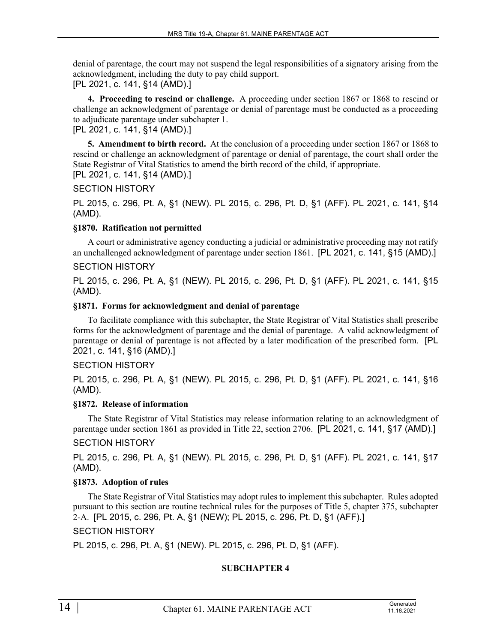denial of parentage, the court may not suspend the legal responsibilities of a signatory arising from the acknowledgment, including the duty to pay child support. [PL 2021, c. 141, §14 (AMD).]

**4. Proceeding to rescind or challenge.** A proceeding under section 1867 or 1868 to rescind or challenge an acknowledgment of parentage or denial of parentage must be conducted as a proceeding to adjudicate parentage under subchapter 1.

[PL 2021, c. 141, §14 (AMD).]

**5. Amendment to birth record.** At the conclusion of a proceeding under section 1867 or 1868 to rescind or challenge an acknowledgment of parentage or denial of parentage, the court shall order the State Registrar of Vital Statistics to amend the birth record of the child, if appropriate. [PL 2021, c. 141, §14 (AMD).]

## SECTION HISTORY

PL 2015, c. 296, Pt. A, §1 (NEW). PL 2015, c. 296, Pt. D, §1 (AFF). PL 2021, c. 141, §14 (AMD).

#### **§1870. Ratification not permitted**

A court or administrative agency conducting a judicial or administrative proceeding may not ratify an unchallenged acknowledgment of parentage under section 1861. [PL 2021, c. 141, §15 (AMD).]

## SECTION HISTORY

PL 2015, c. 296, Pt. A, §1 (NEW). PL 2015, c. 296, Pt. D, §1 (AFF). PL 2021, c. 141, §15 (AMD).

#### **§1871. Forms for acknowledgment and denial of parentage**

To facilitate compliance with this subchapter, the State Registrar of Vital Statistics shall prescribe forms for the acknowledgment of parentage and the denial of parentage. A valid acknowledgment of parentage or denial of parentage is not affected by a later modification of the prescribed form. [PL 2021, c. 141, §16 (AMD).]

#### SECTION HISTORY

PL 2015, c. 296, Pt. A, §1 (NEW). PL 2015, c. 296, Pt. D, §1 (AFF). PL 2021, c. 141, §16 (AMD).

#### **§1872. Release of information**

The State Registrar of Vital Statistics may release information relating to an acknowledgment of parentage under section 1861 as provided in Title 22, section 2706. [PL 2021, c. 141, §17 (AMD).]

# SECTION HISTORY

PL 2015, c. 296, Pt. A, §1 (NEW). PL 2015, c. 296, Pt. D, §1 (AFF). PL 2021, c. 141, §17 (AMD).

# **§1873. Adoption of rules**

The State Registrar of Vital Statistics may adopt rules to implement this subchapter. Rules adopted pursuant to this section are routine technical rules for the purposes of Title 5, chapter 375, subchapter 2-A. [PL 2015, c. 296, Pt. A, §1 (NEW); PL 2015, c. 296, Pt. D, §1 (AFF).]

SECTION HISTORY

PL 2015, c. 296, Pt. A, §1 (NEW). PL 2015, c. 296, Pt. D, §1 (AFF).

# **SUBCHAPTER 4**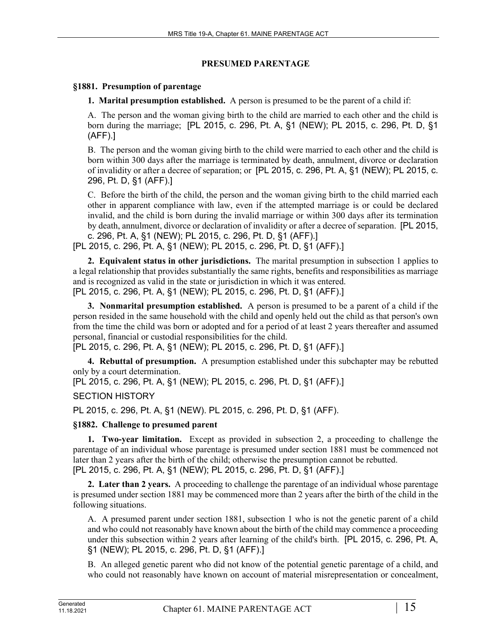# **PRESUMED PARENTAGE**

# **§1881. Presumption of parentage**

**1. Marital presumption established.** A person is presumed to be the parent of a child if:

A. The person and the woman giving birth to the child are married to each other and the child is born during the marriage; [PL 2015, c. 296, Pt. A, §1 (NEW); PL 2015, c. 296, Pt. D, §1 (AFF).]

B. The person and the woman giving birth to the child were married to each other and the child is born within 300 days after the marriage is terminated by death, annulment, divorce or declaration of invalidity or after a decree of separation; or [PL 2015, c. 296, Pt. A, §1 (NEW); PL 2015, c. 296, Pt. D, §1 (AFF).]

C. Before the birth of the child, the person and the woman giving birth to the child married each other in apparent compliance with law, even if the attempted marriage is or could be declared invalid, and the child is born during the invalid marriage or within 300 days after its termination by death, annulment, divorce or declaration of invalidity or after a decree of separation. [PL 2015, c. 296, Pt. A, §1 (NEW); PL 2015, c. 296, Pt. D, §1 (AFF).]

[PL 2015, c. 296, Pt. A, §1 (NEW); PL 2015, c. 296, Pt. D, §1 (AFF).]

**2. Equivalent status in other jurisdictions.** The marital presumption in subsection 1 applies to a legal relationship that provides substantially the same rights, benefits and responsibilities as marriage and is recognized as valid in the state or jurisdiction in which it was entered. [PL 2015, c. 296, Pt. A, §1 (NEW); PL 2015, c. 296, Pt. D, §1 (AFF).]

**3. Nonmarital presumption established.** A person is presumed to be a parent of a child if the person resided in the same household with the child and openly held out the child as that person's own from the time the child was born or adopted and for a period of at least 2 years thereafter and assumed personal, financial or custodial responsibilities for the child.

[PL 2015, c. 296, Pt. A, §1 (NEW); PL 2015, c. 296, Pt. D, §1 (AFF).]

**4. Rebuttal of presumption.** A presumption established under this subchapter may be rebutted only by a court determination.

[PL 2015, c. 296, Pt. A, §1 (NEW); PL 2015, c. 296, Pt. D, §1 (AFF).]

SECTION HISTORY

PL 2015, c. 296, Pt. A, §1 (NEW). PL 2015, c. 296, Pt. D, §1 (AFF).

# **§1882. Challenge to presumed parent**

**1. Two-year limitation.** Except as provided in subsection 2, a proceeding to challenge the parentage of an individual whose parentage is presumed under section 1881 must be commenced not later than 2 years after the birth of the child; otherwise the presumption cannot be rebutted. [PL 2015, c. 296, Pt. A, §1 (NEW); PL 2015, c. 296, Pt. D, §1 (AFF).]

**2. Later than 2 years.** A proceeding to challenge the parentage of an individual whose parentage is presumed under section 1881 may be commenced more than 2 years after the birth of the child in the following situations.

A. A presumed parent under section 1881, subsection 1 who is not the genetic parent of a child and who could not reasonably have known about the birth of the child may commence a proceeding under this subsection within 2 years after learning of the child's birth. [PL 2015, c. 296, Pt. A, §1 (NEW); PL 2015, c. 296, Pt. D, §1 (AFF).]

B. An alleged genetic parent who did not know of the potential genetic parentage of a child, and who could not reasonably have known on account of material misrepresentation or concealment,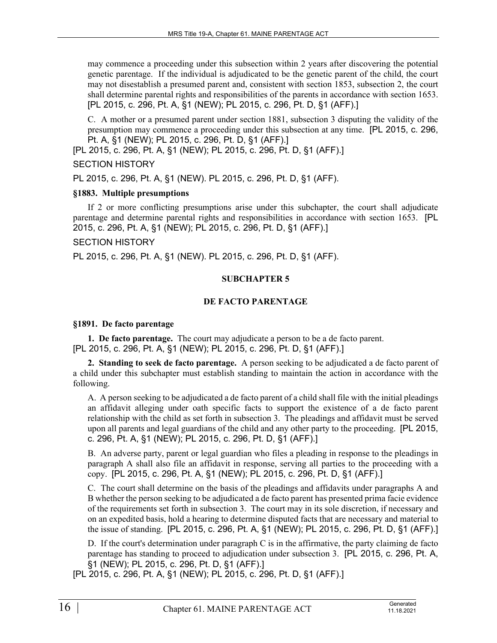may commence a proceeding under this subsection within 2 years after discovering the potential genetic parentage. If the individual is adjudicated to be the genetic parent of the child, the court may not disestablish a presumed parent and, consistent with section 1853, subsection 2, the court shall determine parental rights and responsibilities of the parents in accordance with section 1653. [PL 2015, c. 296, Pt. A, §1 (NEW); PL 2015, c. 296, Pt. D, §1 (AFF).]

C. A mother or a presumed parent under section 1881, subsection 3 disputing the validity of the presumption may commence a proceeding under this subsection at any time. [PL 2015, c. 296, Pt. A, §1 (NEW); PL 2015, c. 296, Pt. D, §1 (AFF).]

[PL 2015, c. 296, Pt. A, §1 (NEW); PL 2015, c. 296, Pt. D, §1 (AFF).]

#### SECTION HISTORY

PL 2015, c. 296, Pt. A, §1 (NEW). PL 2015, c. 296, Pt. D, §1 (AFF).

#### **§1883. Multiple presumptions**

If 2 or more conflicting presumptions arise under this subchapter, the court shall adjudicate parentage and determine parental rights and responsibilities in accordance with section 1653. [PL 2015, c. 296, Pt. A, §1 (NEW); PL 2015, c. 296, Pt. D, §1 (AFF).]

#### SECTION HISTORY

PL 2015, c. 296, Pt. A, §1 (NEW). PL 2015, c. 296, Pt. D, §1 (AFF).

# **SUBCHAPTER 5**

# **DE FACTO PARENTAGE**

#### **§1891. De facto parentage**

**1. De facto parentage.** The court may adjudicate a person to be a de facto parent. [PL 2015, c. 296, Pt. A, §1 (NEW); PL 2015, c. 296, Pt. D, §1 (AFF).]

**2. Standing to seek de facto parentage.** A person seeking to be adjudicated a de facto parent of a child under this subchapter must establish standing to maintain the action in accordance with the following.

A. A person seeking to be adjudicated a de facto parent of a child shall file with the initial pleadings an affidavit alleging under oath specific facts to support the existence of a de facto parent relationship with the child as set forth in subsection 3. The pleadings and affidavit must be served upon all parents and legal guardians of the child and any other party to the proceeding. [PL 2015, c. 296, Pt. A, §1 (NEW); PL 2015, c. 296, Pt. D, §1 (AFF).]

B. An adverse party, parent or legal guardian who files a pleading in response to the pleadings in paragraph A shall also file an affidavit in response, serving all parties to the proceeding with a copy. [PL 2015, c. 296, Pt. A, §1 (NEW); PL 2015, c. 296, Pt. D, §1 (AFF).]

C. The court shall determine on the basis of the pleadings and affidavits under paragraphs A and B whether the person seeking to be adjudicated a de facto parent has presented prima facie evidence of the requirements set forth in subsection 3. The court may in its sole discretion, if necessary and on an expedited basis, hold a hearing to determine disputed facts that are necessary and material to the issue of standing. [PL 2015, c. 296, Pt. A, §1 (NEW); PL 2015, c. 296, Pt. D, §1 (AFF).]

D. If the court's determination under paragraph C is in the affirmative, the party claiming de facto parentage has standing to proceed to adjudication under subsection 3. [PL 2015, c. 296, Pt. A, §1 (NEW); PL 2015, c. 296, Pt. D, §1 (AFF).]

[PL 2015, c. 296, Pt. A, §1 (NEW); PL 2015, c. 296, Pt. D, §1 (AFF).]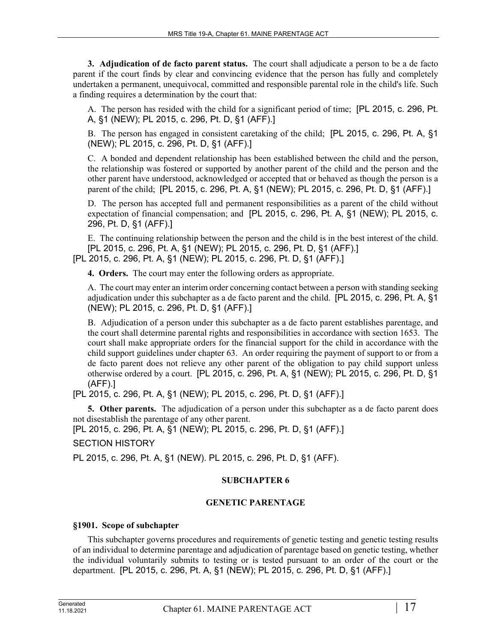**3. Adjudication of de facto parent status.** The court shall adjudicate a person to be a de facto parent if the court finds by clear and convincing evidence that the person has fully and completely undertaken a permanent, unequivocal, committed and responsible parental role in the child's life. Such a finding requires a determination by the court that:

A. The person has resided with the child for a significant period of time; [PL 2015, c. 296, Pt. A, §1 (NEW); PL 2015, c. 296, Pt. D, §1 (AFF).]

B. The person has engaged in consistent caretaking of the child; [PL 2015, c. 296, Pt. A, §1 (NEW); PL 2015, c. 296, Pt. D, §1 (AFF).]

C. A bonded and dependent relationship has been established between the child and the person, the relationship was fostered or supported by another parent of the child and the person and the other parent have understood, acknowledged or accepted that or behaved as though the person is a parent of the child; [PL 2015, c. 296, Pt. A, §1 (NEW); PL 2015, c. 296, Pt. D, §1 (AFF).]

D. The person has accepted full and permanent responsibilities as a parent of the child without expectation of financial compensation; and [PL 2015, c. 296, Pt. A, §1 (NEW); PL 2015, c. 296, Pt. D, §1 (AFF).]

E. The continuing relationship between the person and the child is in the best interest of the child. [PL 2015, c. 296, Pt. A, §1 (NEW); PL 2015, c. 296, Pt. D, §1 (AFF).] [PL 2015, c. 296, Pt. A, §1 (NEW); PL 2015, c. 296, Pt. D, §1 (AFF).]

**4. Orders.** The court may enter the following orders as appropriate.

A. The court may enter an interim order concerning contact between a person with standing seeking adjudication under this subchapter as a de facto parent and the child. [PL 2015, c. 296, Pt. A, §1 (NEW); PL 2015, c. 296, Pt. D, §1 (AFF).]

B. Adjudication of a person under this subchapter as a de facto parent establishes parentage, and the court shall determine parental rights and responsibilities in accordance with section 1653. The court shall make appropriate orders for the financial support for the child in accordance with the child support guidelines under chapter 63. An order requiring the payment of support to or from a de facto parent does not relieve any other parent of the obligation to pay child support unless otherwise ordered by a court. [PL 2015, c. 296, Pt. A, §1 (NEW); PL 2015, c. 296, Pt. D, §1 (AFF).]

[PL 2015, c. 296, Pt. A, §1 (NEW); PL 2015, c. 296, Pt. D, §1 (AFF).]

**5. Other parents.** The adjudication of a person under this subchapter as a de facto parent does not disestablish the parentage of any other parent.

[PL 2015, c. 296, Pt. A, §1 (NEW); PL 2015, c. 296, Pt. D, §1 (AFF).]

SECTION HISTORY

PL 2015, c. 296, Pt. A, §1 (NEW). PL 2015, c. 296, Pt. D, §1 (AFF).

#### **SUBCHAPTER 6**

#### **GENETIC PARENTAGE**

#### **§1901. Scope of subchapter**

This subchapter governs procedures and requirements of genetic testing and genetic testing results of an individual to determine parentage and adjudication of parentage based on genetic testing, whether the individual voluntarily submits to testing or is tested pursuant to an order of the court or the department. [PL 2015, c. 296, Pt. A, §1 (NEW); PL 2015, c. 296, Pt. D, §1 (AFF).]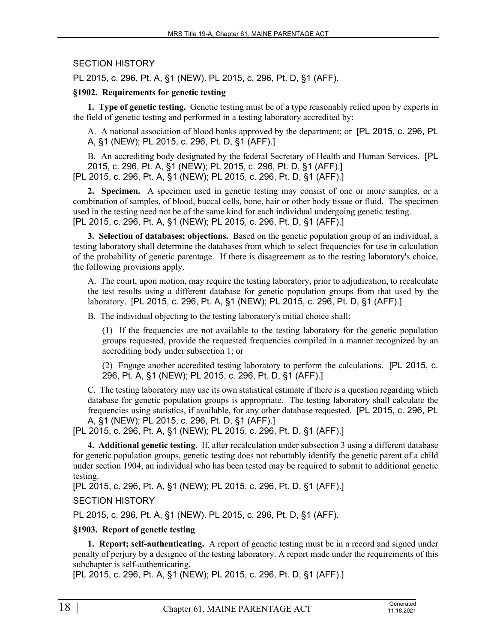# SECTION HISTORY

PL 2015, c. 296, Pt. A, §1 (NEW). PL 2015, c. 296, Pt. D, §1 (AFF).

#### **§1902. Requirements for genetic testing**

**1. Type of genetic testing.** Genetic testing must be of a type reasonably relied upon by experts in the field of genetic testing and performed in a testing laboratory accredited by:

A. A national association of blood banks approved by the department; or [PL 2015, c. 296, Pt. A, §1 (NEW); PL 2015, c. 296, Pt. D, §1 (AFF).]

B. An accrediting body designated by the federal Secretary of Health and Human Services. [PL 2015, c. 296, Pt. A, §1 (NEW); PL 2015, c. 296, Pt. D, §1 (AFF).] [PL 2015, c. 296, Pt. A, §1 (NEW); PL 2015, c. 296, Pt. D, §1 (AFF).]

**2. Specimen.** A specimen used in genetic testing may consist of one or more samples, or a combination of samples, of blood, buccal cells, bone, hair or other body tissue or fluid. The specimen used in the testing need not be of the same kind for each individual undergoing genetic testing. [PL 2015, c. 296, Pt. A, §1 (NEW); PL 2015, c. 296, Pt. D, §1 (AFF).]

**3. Selection of databases; objections.** Based on the genetic population group of an individual, a testing laboratory shall determine the databases from which to select frequencies for use in calculation of the probability of genetic parentage. If there is disagreement as to the testing laboratory's choice, the following provisions apply.

A. The court, upon motion, may require the testing laboratory, prior to adjudication, to recalculate the test results using a different database for genetic population groups from that used by the laboratory. [PL 2015, c. 296, Pt. A, §1 (NEW); PL 2015, c. 296, Pt. D, §1 (AFF).]

B. The individual objecting to the testing laboratory's initial choice shall:

(1) If the frequencies are not available to the testing laboratory for the genetic population groups requested, provide the requested frequencies compiled in a manner recognized by an accrediting body under subsection 1; or

(2) Engage another accredited testing laboratory to perform the calculations. [PL 2015, c. 296, Pt. A, §1 (NEW); PL 2015, c. 296, Pt. D, §1 (AFF).]

C. The testing laboratory may use its own statistical estimate if there is a question regarding which database for genetic population groups is appropriate. The testing laboratory shall calculate the frequencies using statistics, if available, for any other database requested. [PL 2015, c. 296, Pt. A, §1 (NEW); PL 2015, c. 296, Pt. D, §1 (AFF).]

[PL 2015, c. 296, Pt. A, §1 (NEW); PL 2015, c. 296, Pt. D, §1 (AFF).]

**4. Additional genetic testing.** If, after recalculation under subsection 3 using a different database for genetic population groups, genetic testing does not rebuttably identify the genetic parent of a child under section 1904, an individual who has been tested may be required to submit to additional genetic testing.

[PL 2015, c. 296, Pt. A, §1 (NEW); PL 2015, c. 296, Pt. D, §1 (AFF).]

SECTION HISTORY

PL 2015, c. 296, Pt. A, §1 (NEW). PL 2015, c. 296, Pt. D, §1 (AFF).

# **§1903. Report of genetic testing**

**1. Report; self-authenticating.** A report of genetic testing must be in a record and signed under penalty of perjury by a designee of the testing laboratory. A report made under the requirements of this subchapter is self-authenticating.

[PL 2015, c. 296, Pt. A, §1 (NEW); PL 2015, c. 296, Pt. D, §1 (AFF).]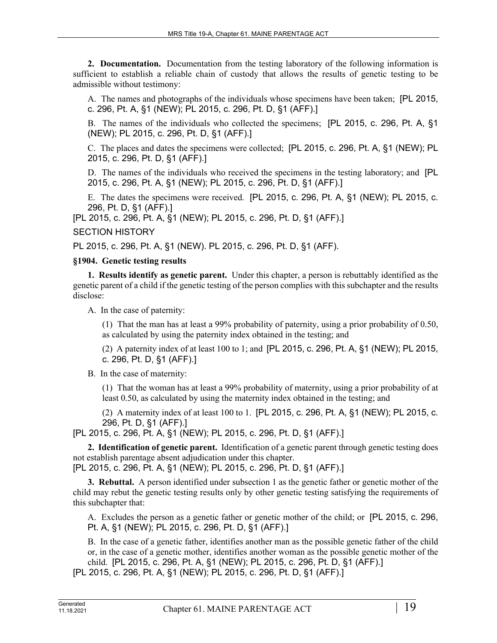**2. Documentation.** Documentation from the testing laboratory of the following information is sufficient to establish a reliable chain of custody that allows the results of genetic testing to be admissible without testimony:

A. The names and photographs of the individuals whose specimens have been taken; [PL 2015, c. 296, Pt. A, §1 (NEW); PL 2015, c. 296, Pt. D, §1 (AFF).]

B. The names of the individuals who collected the specimens; [PL 2015, c. 296, Pt. A, §1 (NEW); PL 2015, c. 296, Pt. D, §1 (AFF).]

C. The places and dates the specimens were collected; [PL 2015, c. 296, Pt. A, §1 (NEW); PL 2015, c. 296, Pt. D, §1 (AFF).]

D. The names of the individuals who received the specimens in the testing laboratory; and [PL 2015, c. 296, Pt. A, §1 (NEW); PL 2015, c. 296, Pt. D, §1 (AFF).]

E. The dates the specimens were received. [PL 2015, c. 296, Pt. A, §1 (NEW); PL 2015, c. 296, Pt. D, §1 (AFF).]

[PL 2015, c. 296, Pt. A, §1 (NEW); PL 2015, c. 296, Pt. D, §1 (AFF).]

#### SECTION HISTORY

PL 2015, c. 296, Pt. A, §1 (NEW). PL 2015, c. 296, Pt. D, §1 (AFF).

#### **§1904. Genetic testing results**

**1. Results identify as genetic parent.** Under this chapter, a person is rebuttably identified as the genetic parent of a child if the genetic testing of the person complies with this subchapter and the results disclose:

A. In the case of paternity:

(1) That the man has at least a 99% probability of paternity, using a prior probability of 0.50, as calculated by using the paternity index obtained in the testing; and

(2) A paternity index of at least 100 to 1; and [PL 2015, c. 296, Pt. A, §1 (NEW); PL 2015, c. 296, Pt. D, §1 (AFF).]

B. In the case of maternity:

(1) That the woman has at least a 99% probability of maternity, using a prior probability of at least 0.50, as calculated by using the maternity index obtained in the testing; and

(2) A maternity index of at least 100 to 1. [PL 2015, c. 296, Pt. A, §1 (NEW); PL 2015, c. 296, Pt. D, §1 (AFF).]

[PL 2015, c. 296, Pt. A, §1 (NEW); PL 2015, c. 296, Pt. D, §1 (AFF).]

**2. Identification of genetic parent.** Identification of a genetic parent through genetic testing does not establish parentage absent adjudication under this chapter. [PL 2015, c. 296, Pt. A, §1 (NEW); PL 2015, c. 296, Pt. D, §1 (AFF).]

**3. Rebuttal.** A person identified under subsection 1 as the genetic father or genetic mother of the child may rebut the genetic testing results only by other genetic testing satisfying the requirements of this subchapter that:

A. Excludes the person as a genetic father or genetic mother of the child; or [PL 2015, c. 296, Pt. A, §1 (NEW); PL 2015, c. 296, Pt. D, §1 (AFF).]

B. In the case of a genetic father, identifies another man as the possible genetic father of the child or, in the case of a genetic mother, identifies another woman as the possible genetic mother of the child. [PL 2015, c. 296, Pt. A, §1 (NEW); PL 2015, c. 296, Pt. D, §1 (AFF).]

[PL 2015, c. 296, Pt. A, §1 (NEW); PL 2015, c. 296, Pt. D, §1 (AFF).]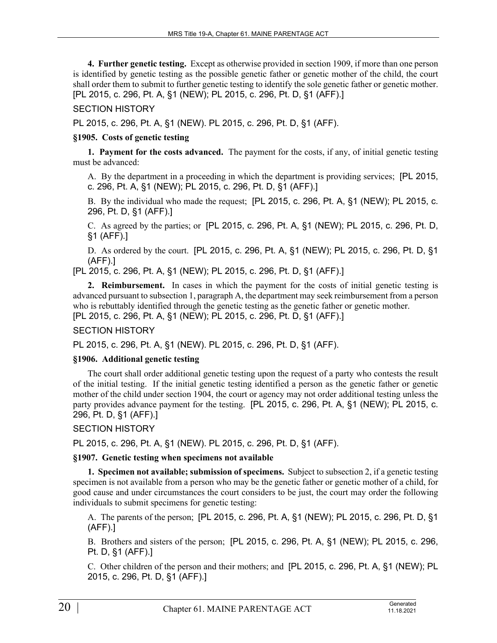**4. Further genetic testing.** Except as otherwise provided in section 1909, if more than one person is identified by genetic testing as the possible genetic father or genetic mother of the child, the court shall order them to submit to further genetic testing to identify the sole genetic father or genetic mother. [PL 2015, c. 296, Pt. A, §1 (NEW); PL 2015, c. 296, Pt. D, §1 (AFF).]

## SECTION HISTORY

PL 2015, c. 296, Pt. A, §1 (NEW). PL 2015, c. 296, Pt. D, §1 (AFF).

## **§1905. Costs of genetic testing**

**1. Payment for the costs advanced.** The payment for the costs, if any, of initial genetic testing must be advanced:

A. By the department in a proceeding in which the department is providing services; [PL 2015, c. 296, Pt. A, §1 (NEW); PL 2015, c. 296, Pt. D, §1 (AFF).]

B. By the individual who made the request; [PL 2015, c. 296, Pt. A, §1 (NEW); PL 2015, c. 296, Pt. D, §1 (AFF).]

C. As agreed by the parties; or [PL 2015, c. 296, Pt. A, §1 (NEW); PL 2015, c. 296, Pt. D, §1 (AFF).]

D. As ordered by the court. [PL 2015, c. 296, Pt. A, §1 (NEW); PL 2015, c. 296, Pt. D, §1 (AFF).]

[PL 2015, c. 296, Pt. A, §1 (NEW); PL 2015, c. 296, Pt. D, §1 (AFF).]

**2. Reimbursement.** In cases in which the payment for the costs of initial genetic testing is advanced pursuant to subsection 1, paragraph A, the department may seek reimbursement from a person who is rebuttably identified through the genetic testing as the genetic father or genetic mother. [PL 2015, c. 296, Pt. A, §1 (NEW); PL 2015, c. 296, Pt. D, §1 (AFF).]

# SECTION HISTORY

PL 2015, c. 296, Pt. A, §1 (NEW). PL 2015, c. 296, Pt. D, §1 (AFF).

#### **§1906. Additional genetic testing**

The court shall order additional genetic testing upon the request of a party who contests the result of the initial testing. If the initial genetic testing identified a person as the genetic father or genetic mother of the child under section 1904, the court or agency may not order additional testing unless the party provides advance payment for the testing. [PL 2015, c. 296, Pt. A, §1 (NEW); PL 2015, c. 296, Pt. D, §1 (AFF).]

SECTION HISTORY

PL 2015, c. 296, Pt. A, §1 (NEW). PL 2015, c. 296, Pt. D, §1 (AFF).

#### **§1907. Genetic testing when specimens not available**

**1. Specimen not available; submission of specimens.** Subject to subsection 2, if a genetic testing specimen is not available from a person who may be the genetic father or genetic mother of a child, for good cause and under circumstances the court considers to be just, the court may order the following individuals to submit specimens for genetic testing:

A. The parents of the person; [PL 2015, c. 296, Pt. A, §1 (NEW); PL 2015, c. 296, Pt. D, §1 (AFF).]

B. Brothers and sisters of the person; [PL 2015, c. 296, Pt. A, §1 (NEW); PL 2015, c. 296, Pt. D, §1 (AFF).]

C. Other children of the person and their mothers; and [PL 2015, c. 296, Pt. A, §1 (NEW); PL 2015, c. 296, Pt. D, §1 (AFF).]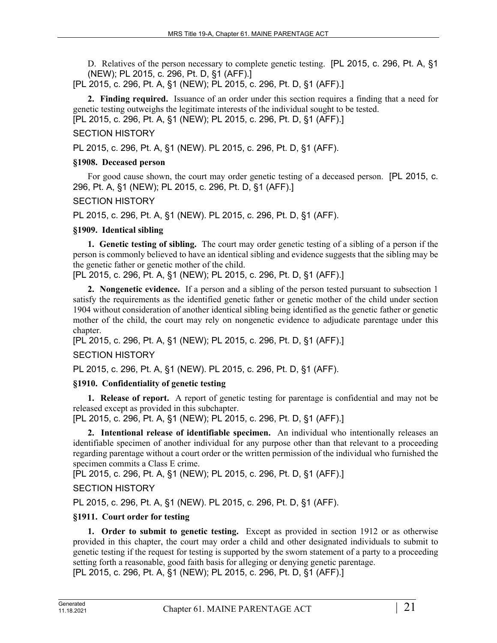D. Relatives of the person necessary to complete genetic testing. [PL 2015, c. 296, Pt. A, §1 (NEW); PL 2015, c. 296, Pt. D, §1 (AFF).]

[PL 2015, c. 296, Pt. A, §1 (NEW); PL 2015, c. 296, Pt. D, §1 (AFF).]

**2. Finding required.** Issuance of an order under this section requires a finding that a need for genetic testing outweighs the legitimate interests of the individual sought to be tested. [PL 2015, c. 296, Pt. A, §1 (NEW); PL 2015, c. 296, Pt. D, §1 (AFF).]

# SECTION HISTORY

PL 2015, c. 296, Pt. A, §1 (NEW). PL 2015, c. 296, Pt. D, §1 (AFF).

# **§1908. Deceased person**

For good cause shown, the court may order genetic testing of a deceased person. [PL 2015, c. 296, Pt. A, §1 (NEW); PL 2015, c. 296, Pt. D, §1 (AFF).]

# SECTION HISTORY

PL 2015, c. 296, Pt. A, §1 (NEW). PL 2015, c. 296, Pt. D, §1 (AFF).

# **§1909. Identical sibling**

**1. Genetic testing of sibling.** The court may order genetic testing of a sibling of a person if the person is commonly believed to have an identical sibling and evidence suggests that the sibling may be the genetic father or genetic mother of the child.

[PL 2015, c. 296, Pt. A, §1 (NEW); PL 2015, c. 296, Pt. D, §1 (AFF).]

**2. Nongenetic evidence.** If a person and a sibling of the person tested pursuant to subsection 1 satisfy the requirements as the identified genetic father or genetic mother of the child under section 1904 without consideration of another identical sibling being identified as the genetic father or genetic mother of the child, the court may rely on nongenetic evidence to adjudicate parentage under this chapter.

[PL 2015, c. 296, Pt. A, §1 (NEW); PL 2015, c. 296, Pt. D, §1 (AFF).]

# SECTION HISTORY

PL 2015, c. 296, Pt. A, §1 (NEW). PL 2015, c. 296, Pt. D, §1 (AFF).

# **§1910. Confidentiality of genetic testing**

**1. Release of report.** A report of genetic testing for parentage is confidential and may not be released except as provided in this subchapter.

[PL 2015, c. 296, Pt. A, §1 (NEW); PL 2015, c. 296, Pt. D, §1 (AFF).]

**2. Intentional release of identifiable specimen.** An individual who intentionally releases an identifiable specimen of another individual for any purpose other than that relevant to a proceeding regarding parentage without a court order or the written permission of the individual who furnished the specimen commits a Class E crime.

[PL 2015, c. 296, Pt. A, §1 (NEW); PL 2015, c. 296, Pt. D, §1 (AFF).]

SECTION HISTORY

PL 2015, c. 296, Pt. A, §1 (NEW). PL 2015, c. 296, Pt. D, §1 (AFF).

# **§1911. Court order for testing**

**1. Order to submit to genetic testing.** Except as provided in section 1912 or as otherwise provided in this chapter, the court may order a child and other designated individuals to submit to genetic testing if the request for testing is supported by the sworn statement of a party to a proceeding setting forth a reasonable, good faith basis for alleging or denying genetic parentage. [PL 2015, c. 296, Pt. A, §1 (NEW); PL 2015, c. 296, Pt. D, §1 (AFF).]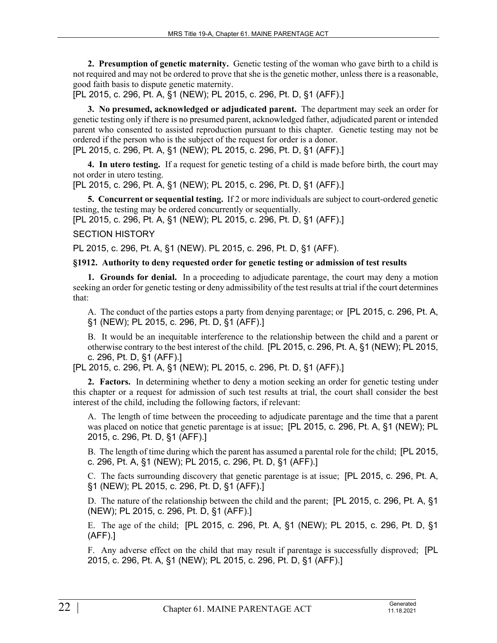**2. Presumption of genetic maternity.** Genetic testing of the woman who gave birth to a child is not required and may not be ordered to prove that she is the genetic mother, unless there is a reasonable, good faith basis to dispute genetic maternity.

[PL 2015, c. 296, Pt. A, §1 (NEW); PL 2015, c. 296, Pt. D, §1 (AFF).]

**3. No presumed, acknowledged or adjudicated parent.** The department may seek an order for genetic testing only if there is no presumed parent, acknowledged father, adjudicated parent or intended parent who consented to assisted reproduction pursuant to this chapter. Genetic testing may not be ordered if the person who is the subject of the request for order is a donor.

[PL 2015, c. 296, Pt. A, §1 (NEW); PL 2015, c. 296, Pt. D, §1 (AFF).]

**4. In utero testing.** If a request for genetic testing of a child is made before birth, the court may not order in utero testing.

[PL 2015, c. 296, Pt. A, §1 (NEW); PL 2015, c. 296, Pt. D, §1 (AFF).]

**5. Concurrent or sequential testing.** If 2 or more individuals are subject to court-ordered genetic testing, the testing may be ordered concurrently or sequentially.

[PL 2015, c. 296, Pt. A, §1 (NEW); PL 2015, c. 296, Pt. D, §1 (AFF).]

#### SECTION HISTORY

PL 2015, c. 296, Pt. A, §1 (NEW). PL 2015, c. 296, Pt. D, §1 (AFF).

#### **§1912. Authority to deny requested order for genetic testing or admission of test results**

**1. Grounds for denial.** In a proceeding to adjudicate parentage, the court may deny a motion seeking an order for genetic testing or deny admissibility of the test results at trial if the court determines that:

A. The conduct of the parties estops a party from denying parentage; or [PL 2015, c. 296, Pt. A, §1 (NEW); PL 2015, c. 296, Pt. D, §1 (AFF).]

B. It would be an inequitable interference to the relationship between the child and a parent or otherwise contrary to the best interest of the child. [PL 2015, c. 296, Pt. A, §1 (NEW); PL 2015, c. 296, Pt. D, §1 (AFF).]

[PL 2015, c. 296, Pt. A, §1 (NEW); PL 2015, c. 296, Pt. D, §1 (AFF).]

**2. Factors.** In determining whether to deny a motion seeking an order for genetic testing under this chapter or a request for admission of such test results at trial, the court shall consider the best interest of the child, including the following factors, if relevant:

A. The length of time between the proceeding to adjudicate parentage and the time that a parent was placed on notice that genetic parentage is at issue; [PL 2015, c. 296, Pt. A, §1 (NEW); PL 2015, c. 296, Pt. D, §1 (AFF).]

B. The length of time during which the parent has assumed a parental role for the child; [PL 2015, c. 296, Pt. A, §1 (NEW); PL 2015, c. 296, Pt. D, §1 (AFF).]

C. The facts surrounding discovery that genetic parentage is at issue; [PL 2015, c. 296, Pt. A, §1 (NEW); PL 2015, c. 296, Pt. D, §1 (AFF).]

D. The nature of the relationship between the child and the parent; [PL 2015, c. 296, Pt. A, §1 (NEW); PL 2015, c. 296, Pt. D, §1 (AFF).]

E. The age of the child; [PL 2015, c. 296, Pt. A, §1 (NEW); PL 2015, c. 296, Pt. D, §1 (AFF).]

F. Any adverse effect on the child that may result if parentage is successfully disproved; [PL 2015, c. 296, Pt. A, §1 (NEW); PL 2015, c. 296, Pt. D, §1 (AFF).]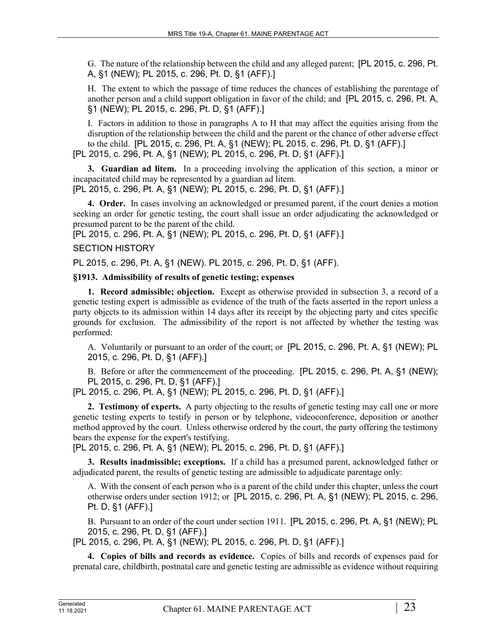G. The nature of the relationship between the child and any alleged parent; [PL 2015, c. 296, Pt. A, §1 (NEW); PL 2015, c. 296, Pt. D, §1 (AFF).]

H. The extent to which the passage of time reduces the chances of establishing the parentage of another person and a child support obligation in favor of the child; and [PL 2015, c. 296, Pt. A, §1 (NEW); PL 2015, c. 296, Pt. D, §1 (AFF).]

I. Factors in addition to those in paragraphs A to H that may affect the equities arising from the disruption of the relationship between the child and the parent or the chance of other adverse effect to the child. [PL 2015, c. 296, Pt. A, §1 (NEW); PL 2015, c. 296, Pt. D, §1 (AFF).] [PL 2015, c. 296, Pt. A, §1 (NEW); PL 2015, c. 296, Pt. D, §1 (AFF).]

**3. Guardian ad litem.** In a proceeding involving the application of this section, a minor or incapacitated child may be represented by a guardian ad litem. [PL 2015, c. 296, Pt. A, §1 (NEW); PL 2015, c. 296, Pt. D, §1 (AFF).]

**4. Order.** In cases involving an acknowledged or presumed parent, if the court denies a motion seeking an order for genetic testing, the court shall issue an order adjudicating the acknowledged or presumed parent to be the parent of the child.

[PL 2015, c. 296, Pt. A, §1 (NEW); PL 2015, c. 296, Pt. D, §1 (AFF).]

# SECTION HISTORY

PL 2015, c. 296, Pt. A, §1 (NEW). PL 2015, c. 296, Pt. D, §1 (AFF).

# **§1913. Admissibility of results of genetic testing; expenses**

**1. Record admissible; objection.** Except as otherwise provided in subsection 3, a record of a genetic testing expert is admissible as evidence of the truth of the facts asserted in the report unless a party objects to its admission within 14 days after its receipt by the objecting party and cites specific grounds for exclusion. The admissibility of the report is not affected by whether the testing was performed:

A. Voluntarily or pursuant to an order of the court; or [PL 2015, c. 296, Pt. A, §1 (NEW); PL 2015, c. 296, Pt. D, §1 (AFF).]

B. Before or after the commencement of the proceeding. [PL 2015, c. 296, Pt. A, §1 (NEW); PL 2015, c. 296, Pt. D, §1 (AFF).]

[PL 2015, c. 296, Pt. A, §1 (NEW); PL 2015, c. 296, Pt. D, §1 (AFF).]

**2. Testimony of experts.** A party objecting to the results of genetic testing may call one or more genetic testing experts to testify in person or by telephone, videoconference, deposition or another method approved by the court. Unless otherwise ordered by the court, the party offering the testimony bears the expense for the expert's testifying.

[PL 2015, c. 296, Pt. A, §1 (NEW); PL 2015, c. 296, Pt. D, §1 (AFF).]

**3. Results inadmissible; exceptions.** If a child has a presumed parent, acknowledged father or adjudicated parent, the results of genetic testing are admissible to adjudicate parentage only:

A. With the consent of each person who is a parent of the child under this chapter, unless the court otherwise orders under section 1912; or [PL 2015, c. 296, Pt. A, §1 (NEW); PL 2015, c. 296, Pt. D, §1 (AFF).]

B. Pursuant to an order of the court under section 1911. [PL 2015, c. 296, Pt. A, §1 (NEW); PL 2015, c. 296, Pt. D, §1 (AFF).]

[PL 2015, c. 296, Pt. A, §1 (NEW); PL 2015, c. 296, Pt. D, §1 (AFF).]

**4. Copies of bills and records as evidence.** Copies of bills and records of expenses paid for prenatal care, childbirth, postnatal care and genetic testing are admissible as evidence without requiring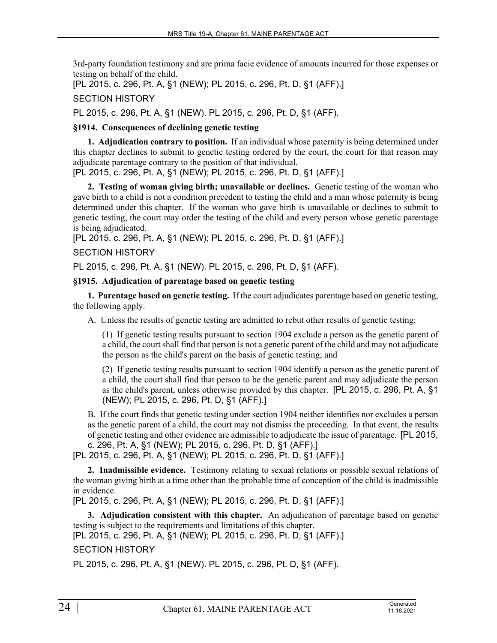3rd-party foundation testimony and are prima facie evidence of amounts incurred for those expenses or testing on behalf of the child.

[PL 2015, c. 296, Pt. A, §1 (NEW); PL 2015, c. 296, Pt. D, §1 (AFF).]

SECTION HISTORY

PL 2015, c. 296, Pt. A, §1 (NEW). PL 2015, c. 296, Pt. D, §1 (AFF).

## **§1914. Consequences of declining genetic testing**

**1. Adjudication contrary to position.** If an individual whose paternity is being determined under this chapter declines to submit to genetic testing ordered by the court, the court for that reason may adjudicate parentage contrary to the position of that individual.

[PL 2015, c. 296, Pt. A, §1 (NEW); PL 2015, c. 296, Pt. D, §1 (AFF).]

**2. Testing of woman giving birth; unavailable or declines.** Genetic testing of the woman who gave birth to a child is not a condition precedent to testing the child and a man whose paternity is being determined under this chapter. If the woman who gave birth is unavailable or declines to submit to genetic testing, the court may order the testing of the child and every person whose genetic parentage is being adjudicated.

[PL 2015, c. 296, Pt. A, §1 (NEW); PL 2015, c. 296, Pt. D, §1 (AFF).]

## SECTION HISTORY

PL 2015, c. 296, Pt. A, §1 (NEW). PL 2015, c. 296, Pt. D, §1 (AFF).

## **§1915. Adjudication of parentage based on genetic testing**

**1. Parentage based on genetic testing.** If the court adjudicates parentage based on genetic testing, the following apply.

A. Unless the results of genetic testing are admitted to rebut other results of genetic testing:

(1) If genetic testing results pursuant to section 1904 exclude a person as the genetic parent of a child, the court shall find that person is not a genetic parent of the child and may not adjudicate the person as the child's parent on the basis of genetic testing; and

(2) If genetic testing results pursuant to section 1904 identify a person as the genetic parent of a child, the court shall find that person to be the genetic parent and may adjudicate the person as the child's parent, unless otherwise provided by this chapter. [PL 2015, c. 296, Pt. A, §1 (NEW); PL 2015, c. 296, Pt. D, §1 (AFF).]

B. If the court finds that genetic testing under section 1904 neither identifies nor excludes a person as the genetic parent of a child, the court may not dismiss the proceeding. In that event, the results of genetic testing and other evidence are admissible to adjudicate the issue of parentage. [PL 2015, c. 296, Pt. A, §1 (NEW); PL 2015, c. 296, Pt. D, §1 (AFF).]

[PL 2015, c. 296, Pt. A, §1 (NEW); PL 2015, c. 296, Pt. D, §1 (AFF).]

**2. Inadmissible evidence.** Testimony relating to sexual relations or possible sexual relations of the woman giving birth at a time other than the probable time of conception of the child is inadmissible in evidence.

[PL 2015, c. 296, Pt. A, §1 (NEW); PL 2015, c. 296, Pt. D, §1 (AFF).]

**3. Adjudication consistent with this chapter.** An adjudication of parentage based on genetic testing is subject to the requirements and limitations of this chapter.

[PL 2015, c. 296, Pt. A, §1 (NEW); PL 2015, c. 296, Pt. D, §1 (AFF).]

# SECTION HISTORY

PL 2015, c. 296, Pt. A, §1 (NEW). PL 2015, c. 296, Pt. D, §1 (AFF).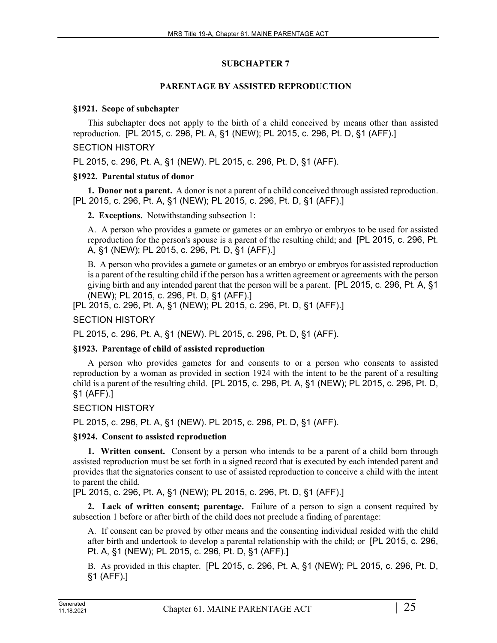## **SUBCHAPTER 7**

## **PARENTAGE BY ASSISTED REPRODUCTION**

#### **§1921. Scope of subchapter**

This subchapter does not apply to the birth of a child conceived by means other than assisted reproduction. [PL 2015, c. 296, Pt. A, §1 (NEW); PL 2015, c. 296, Pt. D, §1 (AFF).]

## SECTION HISTORY

PL 2015, c. 296, Pt. A, §1 (NEW). PL 2015, c. 296, Pt. D, §1 (AFF).

## **§1922. Parental status of donor**

**1. Donor not a parent.** A donor is not a parent of a child conceived through assisted reproduction. [PL 2015, c. 296, Pt. A, §1 (NEW); PL 2015, c. 296, Pt. D, §1 (AFF).]

**2. Exceptions.** Notwithstanding subsection 1:

A. A person who provides a gamete or gametes or an embryo or embryos to be used for assisted reproduction for the person's spouse is a parent of the resulting child; and [PL 2015, c. 296, Pt. A, §1 (NEW); PL 2015, c. 296, Pt. D, §1 (AFF).]

B. A person who provides a gamete or gametes or an embryo or embryos for assisted reproduction is a parent of the resulting child if the person has a written agreement or agreements with the person giving birth and any intended parent that the person will be a parent. [PL 2015, c. 296, Pt. A, §1 (NEW); PL 2015, c. 296, Pt. D, §1 (AFF).]

[PL 2015, c. 296, Pt. A, §1 (NEW); PL 2015, c. 296, Pt. D, §1 (AFF).]

SECTION HISTORY

PL 2015, c. 296, Pt. A, §1 (NEW). PL 2015, c. 296, Pt. D, §1 (AFF).

# **§1923. Parentage of child of assisted reproduction**

A person who provides gametes for and consents to or a person who consents to assisted reproduction by a woman as provided in section 1924 with the intent to be the parent of a resulting child is a parent of the resulting child. [PL 2015, c. 296, Pt. A, §1 (NEW); PL 2015, c. 296, Pt. D, §1 (AFF).]

# SECTION HISTORY

PL 2015, c. 296, Pt. A, §1 (NEW). PL 2015, c. 296, Pt. D, §1 (AFF).

#### **§1924. Consent to assisted reproduction**

**1. Written consent.** Consent by a person who intends to be a parent of a child born through assisted reproduction must be set forth in a signed record that is executed by each intended parent and provides that the signatories consent to use of assisted reproduction to conceive a child with the intent to parent the child.

[PL 2015, c. 296, Pt. A, §1 (NEW); PL 2015, c. 296, Pt. D, §1 (AFF).]

**2. Lack of written consent; parentage.** Failure of a person to sign a consent required by subsection 1 before or after birth of the child does not preclude a finding of parentage:

A. If consent can be proved by other means and the consenting individual resided with the child after birth and undertook to develop a parental relationship with the child; or [PL 2015, c. 296, Pt. A, §1 (NEW); PL 2015, c. 296, Pt. D, §1 (AFF).]

B. As provided in this chapter. [PL 2015, c. 296, Pt. A, §1 (NEW); PL 2015, c. 296, Pt. D, §1 (AFF).]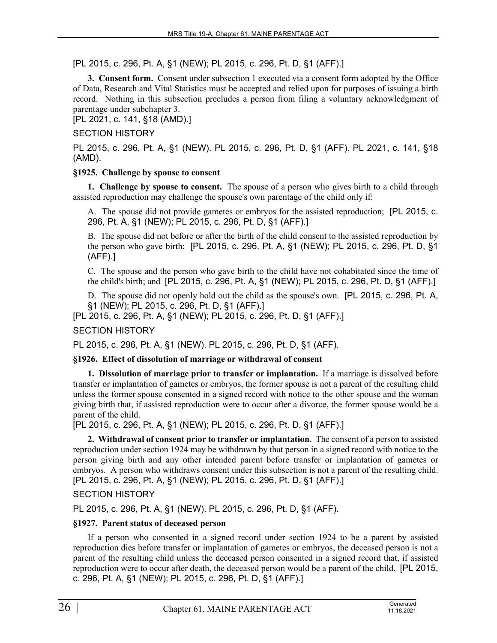[PL 2015, c. 296, Pt. A, §1 (NEW); PL 2015, c. 296, Pt. D, §1 (AFF).]

**3. Consent form.** Consent under subsection 1 executed via a consent form adopted by the Office of Data, Research and Vital Statistics must be accepted and relied upon for purposes of issuing a birth record. Nothing in this subsection precludes a person from filing a voluntary acknowledgment of parentage under subchapter 3.

[PL 2021, c. 141, §18 (AMD).]

## SECTION HISTORY

PL 2015, c. 296, Pt. A, §1 (NEW). PL 2015, c. 296, Pt. D, §1 (AFF). PL 2021, c. 141, §18 (AMD).

# **§1925. Challenge by spouse to consent**

**1. Challenge by spouse to consent.** The spouse of a person who gives birth to a child through assisted reproduction may challenge the spouse's own parentage of the child only if:

A. The spouse did not provide gametes or embryos for the assisted reproduction; [PL 2015, c. 296, Pt. A, §1 (NEW); PL 2015, c. 296, Pt. D, §1 (AFF).]

B. The spouse did not before or after the birth of the child consent to the assisted reproduction by the person who gave birth; [PL 2015, c. 296, Pt. A, §1 (NEW); PL 2015, c. 296, Pt. D, §1 (AFF).]

C. The spouse and the person who gave birth to the child have not cohabitated since the time of the child's birth; and [PL 2015, c. 296, Pt. A, §1 (NEW); PL 2015, c. 296, Pt. D, §1 (AFF).]

D. The spouse did not openly hold out the child as the spouse's own. [PL 2015, c. 296, Pt. A, §1 (NEW); PL 2015, c. 296, Pt. D, §1 (AFF).]

[PL 2015, c. 296, Pt. A, §1 (NEW); PL 2015, c. 296, Pt. D, §1 (AFF).]

# SECTION HISTORY

PL 2015, c. 296, Pt. A, §1 (NEW). PL 2015, c. 296, Pt. D, §1 (AFF).

#### **§1926. Effect of dissolution of marriage or withdrawal of consent**

**1. Dissolution of marriage prior to transfer or implantation.** If a marriage is dissolved before transfer or implantation of gametes or embryos, the former spouse is not a parent of the resulting child unless the former spouse consented in a signed record with notice to the other spouse and the woman giving birth that, if assisted reproduction were to occur after a divorce, the former spouse would be a parent of the child.

[PL 2015, c. 296, Pt. A, §1 (NEW); PL 2015, c. 296, Pt. D, §1 (AFF).]

**2. Withdrawal of consent prior to transfer or implantation.** The consent of a person to assisted reproduction under section 1924 may be withdrawn by that person in a signed record with notice to the person giving birth and any other intended parent before transfer or implantation of gametes or embryos. A person who withdraws consent under this subsection is not a parent of the resulting child. [PL 2015, c. 296, Pt. A, §1 (NEW); PL 2015, c. 296, Pt. D, §1 (AFF).]

SECTION HISTORY

PL 2015, c. 296, Pt. A, §1 (NEW). PL 2015, c. 296, Pt. D, §1 (AFF).

#### **§1927. Parent status of deceased person**

If a person who consented in a signed record under section 1924 to be a parent by assisted reproduction dies before transfer or implantation of gametes or embryos, the deceased person is not a parent of the resulting child unless the deceased person consented in a signed record that, if assisted reproduction were to occur after death, the deceased person would be a parent of the child. [PL 2015, c. 296, Pt. A, §1 (NEW); PL 2015, c. 296, Pt. D, §1 (AFF).]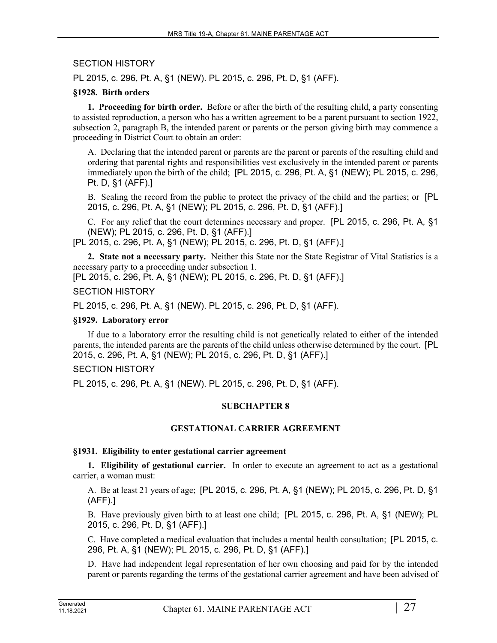# SECTION HISTORY

PL 2015, c. 296, Pt. A, §1 (NEW). PL 2015, c. 296, Pt. D, §1 (AFF).

# **§1928. Birth orders**

**1. Proceeding for birth order.** Before or after the birth of the resulting child, a party consenting to assisted reproduction, a person who has a written agreement to be a parent pursuant to section 1922, subsection 2, paragraph B, the intended parent or parents or the person giving birth may commence a proceeding in District Court to obtain an order:

A. Declaring that the intended parent or parents are the parent or parents of the resulting child and ordering that parental rights and responsibilities vest exclusively in the intended parent or parents immediately upon the birth of the child; [PL 2015, c. 296, Pt. A, §1 (NEW); PL 2015, c. 296, Pt. D, §1 (AFF).]

B. Sealing the record from the public to protect the privacy of the child and the parties; or [PL 2015, c. 296, Pt. A, §1 (NEW); PL 2015, c. 296, Pt. D, §1 (AFF).]

C. For any relief that the court determines necessary and proper. [PL 2015, c. 296, Pt. A, §1 (NEW); PL 2015, c. 296, Pt. D, §1 (AFF).]

[PL 2015, c. 296, Pt. A, §1 (NEW); PL 2015, c. 296, Pt. D, §1 (AFF).]

**2. State not a necessary party.** Neither this State nor the State Registrar of Vital Statistics is a necessary party to a proceeding under subsection 1.

[PL 2015, c. 296, Pt. A, §1 (NEW); PL 2015, c. 296, Pt. D, §1 (AFF).]

## SECTION HISTORY

PL 2015, c. 296, Pt. A, §1 (NEW). PL 2015, c. 296, Pt. D, §1 (AFF).

#### **§1929. Laboratory error**

If due to a laboratory error the resulting child is not genetically related to either of the intended parents, the intended parents are the parents of the child unless otherwise determined by the court. [PL 2015, c. 296, Pt. A, §1 (NEW); PL 2015, c. 296, Pt. D, §1 (AFF).]

# SECTION HISTORY

PL 2015, c. 296, Pt. A, §1 (NEW). PL 2015, c. 296, Pt. D, §1 (AFF).

# **SUBCHAPTER 8**

# **GESTATIONAL CARRIER AGREEMENT**

#### **§1931. Eligibility to enter gestational carrier agreement**

**1. Eligibility of gestational carrier.** In order to execute an agreement to act as a gestational carrier, a woman must:

A. Be at least 21 years of age; [PL 2015, c. 296, Pt. A, §1 (NEW); PL 2015, c. 296, Pt. D, §1 (AFF).]

B. Have previously given birth to at least one child; [PL 2015, c. 296, Pt. A, §1 (NEW); PL 2015, c. 296, Pt. D, §1 (AFF).]

C. Have completed a medical evaluation that includes a mental health consultation; [PL 2015, c. 296, Pt. A, §1 (NEW); PL 2015, c. 296, Pt. D, §1 (AFF).]

D. Have had independent legal representation of her own choosing and paid for by the intended parent or parents regarding the terms of the gestational carrier agreement and have been advised of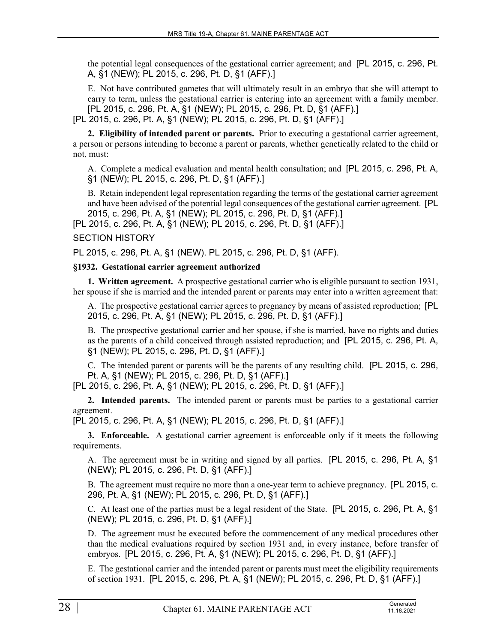the potential legal consequences of the gestational carrier agreement; and [PL 2015, c. 296, Pt. A, §1 (NEW); PL 2015, c. 296, Pt. D, §1 (AFF).]

E. Not have contributed gametes that will ultimately result in an embryo that she will attempt to carry to term, unless the gestational carrier is entering into an agreement with a family member. [PL 2015, c. 296, Pt. A, §1 (NEW); PL 2015, c. 296, Pt. D, §1 (AFF).]

[PL 2015, c. 296, Pt. A, §1 (NEW); PL 2015, c. 296, Pt. D, §1 (AFF).]

**2. Eligibility of intended parent or parents.** Prior to executing a gestational carrier agreement, a person or persons intending to become a parent or parents, whether genetically related to the child or not, must:

A. Complete a medical evaluation and mental health consultation; and [PL 2015, c. 296, Pt. A, §1 (NEW); PL 2015, c. 296, Pt. D, §1 (AFF).]

B. Retain independent legal representation regarding the terms of the gestational carrier agreement and have been advised of the potential legal consequences of the gestational carrier agreement. [PL 2015, c. 296, Pt. A, §1 (NEW); PL 2015, c. 296, Pt. D, §1 (AFF).]

[PL 2015, c. 296, Pt. A, §1 (NEW); PL 2015, c. 296, Pt. D, §1 (AFF).]

SECTION HISTORY

PL 2015, c. 296, Pt. A, §1 (NEW). PL 2015, c. 296, Pt. D, §1 (AFF).

#### **§1932. Gestational carrier agreement authorized**

**1. Written agreement.** A prospective gestational carrier who is eligible pursuant to section 1931, her spouse if she is married and the intended parent or parents may enter into a written agreement that:

A. The prospective gestational carrier agrees to pregnancy by means of assisted reproduction; [PL 2015, c. 296, Pt. A, §1 (NEW); PL 2015, c. 296, Pt. D, §1 (AFF).]

B. The prospective gestational carrier and her spouse, if she is married, have no rights and duties as the parents of a child conceived through assisted reproduction; and [PL 2015, c. 296, Pt. A, §1 (NEW); PL 2015, c. 296, Pt. D, §1 (AFF).]

C. The intended parent or parents will be the parents of any resulting child. [PL 2015, c. 296, Pt. A, §1 (NEW); PL 2015, c. 296, Pt. D, §1 (AFF).]

[PL 2015, c. 296, Pt. A, §1 (NEW); PL 2015, c. 296, Pt. D, §1 (AFF).]

**2. Intended parents.** The intended parent or parents must be parties to a gestational carrier agreement.

[PL 2015, c. 296, Pt. A, §1 (NEW); PL 2015, c. 296, Pt. D, §1 (AFF).]

**3. Enforceable.** A gestational carrier agreement is enforceable only if it meets the following requirements.

A. The agreement must be in writing and signed by all parties. [PL 2015, c. 296, Pt. A, §1 (NEW); PL 2015, c. 296, Pt. D, §1 (AFF).]

B. The agreement must require no more than a one-year term to achieve pregnancy. [PL 2015, c. 296, Pt. A, §1 (NEW); PL 2015, c. 296, Pt. D, §1 (AFF).]

C. At least one of the parties must be a legal resident of the State. [PL 2015, c. 296, Pt. A, §1 (NEW); PL 2015, c. 296, Pt. D, §1 (AFF).]

D. The agreement must be executed before the commencement of any medical procedures other than the medical evaluations required by section 1931 and, in every instance, before transfer of embryos. [PL 2015, c. 296, Pt. A, §1 (NEW); PL 2015, c. 296, Pt. D, §1 (AFF).]

E. The gestational carrier and the intended parent or parents must meet the eligibility requirements of section 1931. [PL 2015, c. 296, Pt. A, §1 (NEW); PL 2015, c. 296, Pt. D, §1 (AFF).]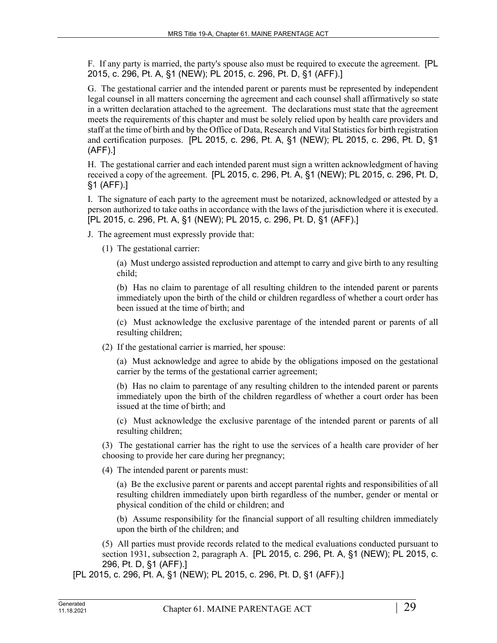F. If any party is married, the party's spouse also must be required to execute the agreement. [PL 2015, c. 296, Pt. A, §1 (NEW); PL 2015, c. 296, Pt. D, §1 (AFF).]

G. The gestational carrier and the intended parent or parents must be represented by independent legal counsel in all matters concerning the agreement and each counsel shall affirmatively so state in a written declaration attached to the agreement. The declarations must state that the agreement meets the requirements of this chapter and must be solely relied upon by health care providers and staff at the time of birth and by the Office of Data, Research and Vital Statistics for birth registration and certification purposes. [PL 2015, c. 296, Pt. A, §1 (NEW); PL 2015, c. 296, Pt. D, §1 (AFF).]

H. The gestational carrier and each intended parent must sign a written acknowledgment of having received a copy of the agreement. [PL 2015, c. 296, Pt. A, §1 (NEW); PL 2015, c. 296, Pt. D, §1 (AFF).]

I. The signature of each party to the agreement must be notarized, acknowledged or attested by a person authorized to take oaths in accordance with the laws of the jurisdiction where it is executed. [PL 2015, c. 296, Pt. A, §1 (NEW); PL 2015, c. 296, Pt. D, §1 (AFF).]

- J. The agreement must expressly provide that:
	- (1) The gestational carrier:

(a) Must undergo assisted reproduction and attempt to carry and give birth to any resulting child;

(b) Has no claim to parentage of all resulting children to the intended parent or parents immediately upon the birth of the child or children regardless of whether a court order has been issued at the time of birth; and

(c) Must acknowledge the exclusive parentage of the intended parent or parents of all resulting children;

(2) If the gestational carrier is married, her spouse:

(a) Must acknowledge and agree to abide by the obligations imposed on the gestational carrier by the terms of the gestational carrier agreement;

(b) Has no claim to parentage of any resulting children to the intended parent or parents immediately upon the birth of the children regardless of whether a court order has been issued at the time of birth; and

(c) Must acknowledge the exclusive parentage of the intended parent or parents of all resulting children;

(3) The gestational carrier has the right to use the services of a health care provider of her choosing to provide her care during her pregnancy;

(4) The intended parent or parents must:

(a) Be the exclusive parent or parents and accept parental rights and responsibilities of all resulting children immediately upon birth regardless of the number, gender or mental or physical condition of the child or children; and

(b) Assume responsibility for the financial support of all resulting children immediately upon the birth of the children; and

(5) All parties must provide records related to the medical evaluations conducted pursuant to section 1931, subsection 2, paragraph A. [PL 2015, c. 296, Pt. A, §1 (NEW); PL 2015, c. 296, Pt. D, §1 (AFF).]

[PL 2015, c. 296, Pt. A, §1 (NEW); PL 2015, c. 296, Pt. D, §1 (AFF).]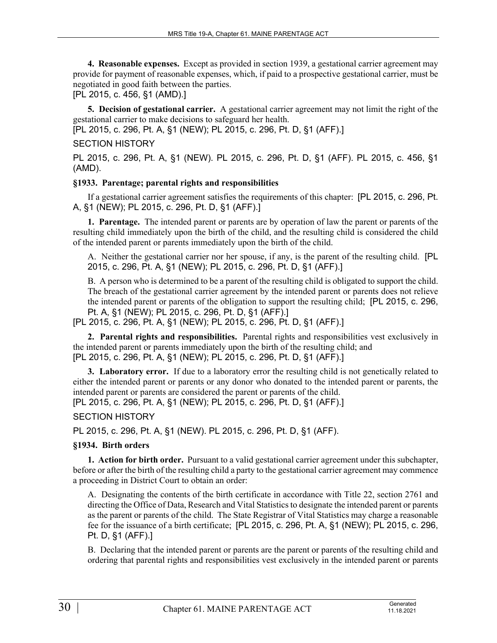**4. Reasonable expenses.** Except as provided in section 1939, a gestational carrier agreement may provide for payment of reasonable expenses, which, if paid to a prospective gestational carrier, must be negotiated in good faith between the parties.

[PL 2015, c. 456, §1 (AMD).]

**5. Decision of gestational carrier.** A gestational carrier agreement may not limit the right of the gestational carrier to make decisions to safeguard her health.

[PL 2015, c. 296, Pt. A, §1 (NEW); PL 2015, c. 296, Pt. D, §1 (AFF).]

# SECTION HISTORY

PL 2015, c. 296, Pt. A, §1 (NEW). PL 2015, c. 296, Pt. D, §1 (AFF). PL 2015, c. 456, §1 (AMD).

# **§1933. Parentage; parental rights and responsibilities**

If a gestational carrier agreement satisfies the requirements of this chapter: [PL 2015, c. 296, Pt. A, §1 (NEW); PL 2015, c. 296, Pt. D, §1 (AFF).]

**1. Parentage.** The intended parent or parents are by operation of law the parent or parents of the resulting child immediately upon the birth of the child, and the resulting child is considered the child of the intended parent or parents immediately upon the birth of the child.

A. Neither the gestational carrier nor her spouse, if any, is the parent of the resulting child. [PL 2015, c. 296, Pt. A, §1 (NEW); PL 2015, c. 296, Pt. D, §1 (AFF).]

B. A person who is determined to be a parent of the resulting child is obligated to support the child. The breach of the gestational carrier agreement by the intended parent or parents does not relieve the intended parent or parents of the obligation to support the resulting child; [PL 2015, c. 296, Pt. A, §1 (NEW); PL 2015, c. 296, Pt. D, §1 (AFF).]

[PL 2015, c. 296, Pt. A, §1 (NEW); PL 2015, c. 296, Pt. D, §1 (AFF).]

**2. Parental rights and responsibilities.** Parental rights and responsibilities vest exclusively in the intended parent or parents immediately upon the birth of the resulting child; and [PL 2015, c. 296, Pt. A, §1 (NEW); PL 2015, c. 296, Pt. D, §1 (AFF).]

**3. Laboratory error.** If due to a laboratory error the resulting child is not genetically related to either the intended parent or parents or any donor who donated to the intended parent or parents, the intended parent or parents are considered the parent or parents of the child.

[PL 2015, c. 296, Pt. A, §1 (NEW); PL 2015, c. 296, Pt. D, §1 (AFF).]

SECTION HISTORY

PL 2015, c. 296, Pt. A, §1 (NEW). PL 2015, c. 296, Pt. D, §1 (AFF).

# **§1934. Birth orders**

**1. Action for birth order.** Pursuant to a valid gestational carrier agreement under this subchapter, before or after the birth of the resulting child a party to the gestational carrier agreement may commence a proceeding in District Court to obtain an order:

A. Designating the contents of the birth certificate in accordance with Title 22, section 2761 and directing the Office of Data, Research and Vital Statistics to designate the intended parent or parents as the parent or parents of the child. The State Registrar of Vital Statistics may charge a reasonable fee for the issuance of a birth certificate; [PL 2015, c. 296, Pt. A, §1 (NEW); PL 2015, c. 296, Pt. D, §1 (AFF).]

B. Declaring that the intended parent or parents are the parent or parents of the resulting child and ordering that parental rights and responsibilities vest exclusively in the intended parent or parents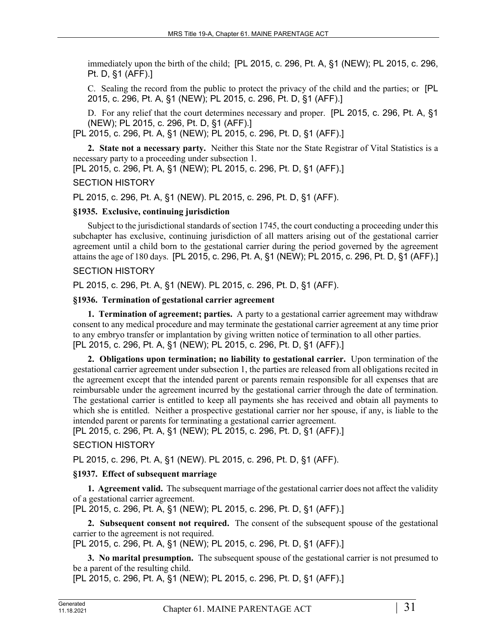immediately upon the birth of the child; [PL 2015, c. 296, Pt. A, §1 (NEW); PL 2015, c. 296, Pt. D, §1 (AFF).]

C. Sealing the record from the public to protect the privacy of the child and the parties; or [PL 2015, c. 296, Pt. A, §1 (NEW); PL 2015, c. 296, Pt. D, §1 (AFF).]

D. For any relief that the court determines necessary and proper. [PL 2015, c. 296, Pt. A, §1 (NEW); PL 2015, c. 296, Pt. D, §1 (AFF).]

[PL 2015, c. 296, Pt. A, §1 (NEW); PL 2015, c. 296, Pt. D, §1 (AFF).]

**2. State not a necessary party.** Neither this State nor the State Registrar of Vital Statistics is a necessary party to a proceeding under subsection 1.

[PL 2015, c. 296, Pt. A, §1 (NEW); PL 2015, c. 296, Pt. D, §1 (AFF).]

#### SECTION HISTORY

PL 2015, c. 296, Pt. A, §1 (NEW). PL 2015, c. 296, Pt. D, §1 (AFF).

#### **§1935. Exclusive, continuing jurisdiction**

Subject to the jurisdictional standards of section 1745, the court conducting a proceeding under this subchapter has exclusive, continuing jurisdiction of all matters arising out of the gestational carrier agreement until a child born to the gestational carrier during the period governed by the agreement attains the age of 180 days. [PL 2015, c. 296, Pt. A, §1 (NEW); PL 2015, c. 296, Pt. D, §1 (AFF).]

#### SECTION HISTORY

PL 2015, c. 296, Pt. A, §1 (NEW). PL 2015, c. 296, Pt. D, §1 (AFF).

#### **§1936. Termination of gestational carrier agreement**

**1. Termination of agreement; parties.** A party to a gestational carrier agreement may withdraw consent to any medical procedure and may terminate the gestational carrier agreement at any time prior to any embryo transfer or implantation by giving written notice of termination to all other parties. [PL 2015, c. 296, Pt. A, §1 (NEW); PL 2015, c. 296, Pt. D, §1 (AFF).]

**2. Obligations upon termination; no liability to gestational carrier.** Upon termination of the gestational carrier agreement under subsection 1, the parties are released from all obligations recited in the agreement except that the intended parent or parents remain responsible for all expenses that are reimbursable under the agreement incurred by the gestational carrier through the date of termination. The gestational carrier is entitled to keep all payments she has received and obtain all payments to which she is entitled. Neither a prospective gestational carrier nor her spouse, if any, is liable to the intended parent or parents for terminating a gestational carrier agreement.

[PL 2015, c. 296, Pt. A, §1 (NEW); PL 2015, c. 296, Pt. D, §1 (AFF).]

#### SECTION HISTORY

PL 2015, c. 296, Pt. A, §1 (NEW). PL 2015, c. 296, Pt. D, §1 (AFF).

#### **§1937. Effect of subsequent marriage**

**1. Agreement valid.** The subsequent marriage of the gestational carrier does not affect the validity of a gestational carrier agreement.

[PL 2015, c. 296, Pt. A, §1 (NEW); PL 2015, c. 296, Pt. D, §1 (AFF).]

**2. Subsequent consent not required.** The consent of the subsequent spouse of the gestational carrier to the agreement is not required.

[PL 2015, c. 296, Pt. A, §1 (NEW); PL 2015, c. 296, Pt. D, §1 (AFF).]

**3. No marital presumption.** The subsequent spouse of the gestational carrier is not presumed to be a parent of the resulting child.

[PL 2015, c. 296, Pt. A, §1 (NEW); PL 2015, c. 296, Pt. D, §1 (AFF).]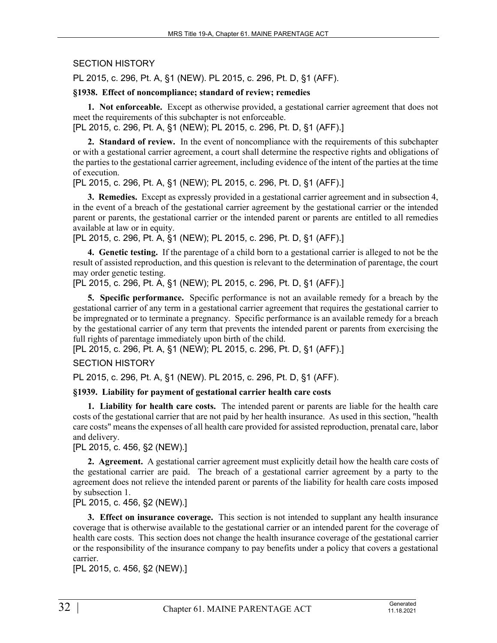## SECTION HISTORY

PL 2015, c. 296, Pt. A, §1 (NEW). PL 2015, c. 296, Pt. D, §1 (AFF).

#### **§1938. Effect of noncompliance; standard of review; remedies**

**1. Not enforceable.** Except as otherwise provided, a gestational carrier agreement that does not meet the requirements of this subchapter is not enforceable.

[PL 2015, c. 296, Pt. A, §1 (NEW); PL 2015, c. 296, Pt. D, §1 (AFF).]

**2. Standard of review.** In the event of noncompliance with the requirements of this subchapter or with a gestational carrier agreement, a court shall determine the respective rights and obligations of the parties to the gestational carrier agreement, including evidence of the intent of the parties at the time of execution.

[PL 2015, c. 296, Pt. A, §1 (NEW); PL 2015, c. 296, Pt. D, §1 (AFF).]

**3. Remedies.** Except as expressly provided in a gestational carrier agreement and in subsection 4, in the event of a breach of the gestational carrier agreement by the gestational carrier or the intended parent or parents, the gestational carrier or the intended parent or parents are entitled to all remedies available at law or in equity.

[PL 2015, c. 296, Pt. A, §1 (NEW); PL 2015, c. 296, Pt. D, §1 (AFF).]

**4. Genetic testing.** If the parentage of a child born to a gestational carrier is alleged to not be the result of assisted reproduction, and this question is relevant to the determination of parentage, the court may order genetic testing.

[PL 2015, c. 296, Pt. A, §1 (NEW); PL 2015, c. 296, Pt. D, §1 (AFF).]

**5. Specific performance.** Specific performance is not an available remedy for a breach by the gestational carrier of any term in a gestational carrier agreement that requires the gestational carrier to be impregnated or to terminate a pregnancy. Specific performance is an available remedy for a breach by the gestational carrier of any term that prevents the intended parent or parents from exercising the full rights of parentage immediately upon birth of the child.

[PL 2015, c. 296, Pt. A, §1 (NEW); PL 2015, c. 296, Pt. D, §1 (AFF).]

# SECTION HISTORY

PL 2015, c. 296, Pt. A, §1 (NEW). PL 2015, c. 296, Pt. D, §1 (AFF).

# **§1939. Liability for payment of gestational carrier health care costs**

**1. Liability for health care costs.** The intended parent or parents are liable for the health care costs of the gestational carrier that are not paid by her health insurance. As used in this section, "health care costs" means the expenses of all health care provided for assisted reproduction, prenatal care, labor and delivery.

[PL 2015, c. 456, §2 (NEW).]

**2. Agreement.** A gestational carrier agreement must explicitly detail how the health care costs of the gestational carrier are paid. The breach of a gestational carrier agreement by a party to the agreement does not relieve the intended parent or parents of the liability for health care costs imposed by subsection 1.

[PL 2015, c. 456, §2 (NEW).]

**3. Effect on insurance coverage.** This section is not intended to supplant any health insurance coverage that is otherwise available to the gestational carrier or an intended parent for the coverage of health care costs. This section does not change the health insurance coverage of the gestational carrier or the responsibility of the insurance company to pay benefits under a policy that covers a gestational carrier.

[PL 2015, c. 456, §2 (NEW).]